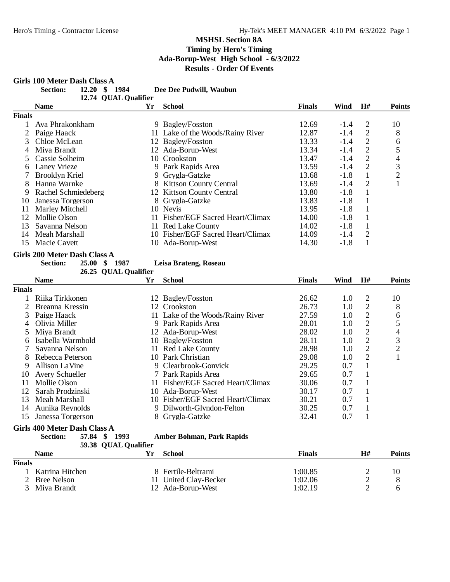# Girls 100 Meter Dash Class A<br>Section: 12.20 \$

| <b>Section:</b> | 12.20 \$ 1984 |                      | Dee Dee Pudwill, Waubun |  |
|-----------------|---------------|----------------------|-------------------------|--|
|                 |               | 12.74 QUAL Qualifier |                         |  |

|        | <b>Name</b>            | Yr | <b>School</b>                     | <b>Finals</b> | Wind   | H# | <b>Points</b>  |
|--------|------------------------|----|-----------------------------------|---------------|--------|----|----------------|
| Finals |                        |    |                                   |               |        |    |                |
|        | Ava Phrakonkham        |    | 9 Bagley/Fosston                  | 12.69         | $-1.4$ | 2  | 10             |
|        | Paige Haack            |    | 11 Lake of the Woods/Rainy River  | 12.87         | $-1.4$ | 2  | 8              |
| 3      | Chloe McLean           |    | 12 Bagley/Fosston                 | 13.33         | $-1.4$ | 2  | 6              |
| 4      | Miya Brandt            |    | 12 Ada-Borup-West                 | 13.34         | $-1.4$ | 2  |                |
|        | Cassie Solheim         |    | 10 Crookston                      | 13.47         | $-1.4$ | 2  | 4              |
| 6      | Laney Vrieze           |    | 9 Park Rapids Area                | 13.59         | $-1.4$ | 2  | 3              |
|        | Brooklyn Kriel         |    | 9 Grygla-Gatzke                   | 13.68         | $-1.8$ |    | $\overline{c}$ |
| 8      | Hanna Warnke           |    | 8 Kittson County Central          | 13.69         | $-1.4$ | 2  |                |
| 9      | Rachel Schmiedeberg    |    | 12 Kittson County Central         | 13.80         | $-1.8$ |    |                |
| 10     | Janessa Torgerson      |    | 8 Grygla-Gatzke                   | 13.83         | $-1.8$ |    |                |
|        | <b>Marley Mitchell</b> |    | 10 Nevis                          | 13.95         | $-1.8$ |    |                |
| 12     | Mollie Olson           |    | 11 Fisher/EGF Sacred Heart/Climax | 14.00         | $-1.8$ |    |                |
| 13     | Savanna Nelson         |    | 11 Red Lake County                | 14.02         | $-1.8$ |    |                |
| 14     | Meah Marshall          |    | 10 Fisher/EGF Sacred Heart/Climax | 14.09         | $-1.4$ | 2  |                |
| 15     | Macie Cavett           | 10 | Ada-Borup-West                    | 14.30         | $-1.8$ |    |                |
|        |                        |    |                                   |               |        |    |                |

#### **Girls 200 Meter Dash Class A**

**Section: 25.00 \$ 1987 Leisa Brateng, Roseau**

|              |                              | 26.25 QUAL Qualifier |                                   |               |      |    |                |
|--------------|------------------------------|----------------------|-----------------------------------|---------------|------|----|----------------|
|              | <b>Name</b>                  | Yr.                  | School                            | <b>Finals</b> | Wind | H# | <b>Points</b>  |
| Finals       |                              |                      |                                   |               |      |    |                |
|              | Riika Tirkkonen              |                      | 12 Bagley/Fosston                 | 26.62         | 1.0  | 2  | 10             |
|              | Breanna Kressin              |                      | 12 Crookston                      | 26.73         | 1.0  | 2  | 8              |
| 3            | Paige Haack                  |                      | 11 Lake of the Woods/Rainy River  | 27.59         | 1.0  | 2  | 6              |
| 4            | Olivia Miller                |                      | 9 Park Rapids Area                | 28.01         | 1.0  | 2  | 5              |
| 5.           | Miya Brandt                  |                      | 12 Ada-Borup-West                 | 28.02         | 1.0  | 2  | 4              |
| <sub>6</sub> | Isabella Warmbold            |                      | 10 Bagley/Fosston                 | 28.11         | 1.0  | 2  | 3              |
|              | Savanna Nelson               |                      | 11 Red Lake County                | 28.98         | 1.0  | 2  | $\overline{2}$ |
| 8            | Rebecca Peterson             |                      | 10 Park Christian                 | 29.08         | 1.0  | 2  |                |
| 9            | Allison LaVine               |                      | 9 Clearbrook-Gonvick              | 29.25         | 0.7  |    |                |
| 10           | Avery Schueller              |                      | 7 Park Rapids Area                | 29.65         | 0.7  |    |                |
| 11           | Mollie Olson                 |                      | Fisher/EGF Sacred Heart/Climax    | 30.06         | 0.7  |    |                |
| 12           | Sarah Prodzinski             | 10-                  | Ada-Borup-West                    | 30.17         | 0.7  |    |                |
| 13           | Meah Marshall                |                      | 10 Fisher/EGF Sacred Heart/Climax | 30.21         | 0.7  |    |                |
| 14           | Aunika Reynolds              |                      | 9 Dilworth-Glyndon-Felton         | 30.25         | 0.7  |    |                |
| 15           | Janessa Torgerson            |                      | 8 Grygla-Gatzke                   | 32.41         | 0.7  |    |                |
|              | Girls 400 Meter Dash Class A |                      |                                   |               |      |    |                |

|               | 57.84 \$<br><b>Section:</b> | 1993<br>Amber Bohman, Park Rapids<br>59.38 QUAL Qualifier |               |    |        |
|---------------|-----------------------------|-----------------------------------------------------------|---------------|----|--------|
|               | <b>Name</b>                 | School                                                    | <b>Finals</b> | H# | Points |
| <b>Finals</b> |                             |                                                           |               |    |        |
|               | Katrina Hitchen             | 8 Fertile-Beltrami                                        | 1:00.85       |    | 10     |
|               | 2 Bree Nelson               | United Clay-Becker<br>п                                   | 1:02.06       |    |        |
| 3             | Miva Brandt                 | 12 Ada-Borup-West                                         | 1:02.19       |    |        |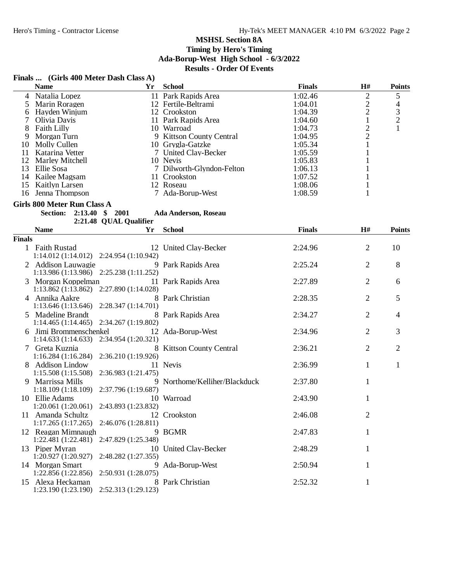## **Finals ... (Girls 400 Meter Dash Class A)**

|        | <b>Name</b>                               | <b>Yr</b>              | <b>School</b>                 | <b>Finals</b> | H#             | <b>Points</b>  |
|--------|-------------------------------------------|------------------------|-------------------------------|---------------|----------------|----------------|
| 4      | Natalia Lopez                             |                        | 11 Park Rapids Area           | 1:02.46       | $\overline{c}$ | $\mathfrak{S}$ |
| 5      | Marin Roragen                             |                        | 12 Fertile-Beltrami           | 1:04.01       | $\frac{2}{2}$  | $\overline{4}$ |
| 6      | Hayden Winjum                             |                        | 12 Crookston                  | 1:04.39       |                |                |
| 7      | Olivia Davis                              |                        | 11 Park Rapids Area           | 1:04.60       | $\mathbf{1}$   | $\frac{3}{2}$  |
| 8      | <b>Faith Lilly</b>                        |                        | 10 Warroad                    | 1:04.73       |                | $\mathbf{1}$   |
| 9      | Morgan Turn                               |                        | 9 Kittson County Central      | 1:04.95       | $\frac{2}{2}$  |                |
|        | 10 Molly Cullen                           |                        | 10 Grygla-Gatzke              | 1:05.34       | $\mathbf{1}$   |                |
| 11     | Katarina Vetter                           |                        | 7 United Clay-Becker          | 1:05.59       | 1              |                |
| 12     | <b>Marley Mitchell</b>                    |                        | 10 Nevis                      | 1:05.83       |                |                |
| 13     | Ellie Sosa                                |                        | 7 Dilworth-Glyndon-Felton     | 1:06.13       |                |                |
| 14     | Kailee Magsam                             |                        | 11 Crookston                  | 1:07.52       | 1              |                |
| 15     | <b>Kaitlyn Larsen</b>                     |                        | 12 Roseau                     | 1:08.06       | 1              |                |
|        | 16 Jenna Thompson                         |                        | 7 Ada-Borup-West              | 1:08.59       | 1              |                |
|        |                                           |                        |                               |               |                |                |
|        | Girls 800 Meter Run Class A               |                        |                               |               |                |                |
|        | <b>Section:</b>                           | 2:13.40 \$ 2001        | Ada Anderson, Roseau          |               |                |                |
|        |                                           | 2:21.48 QUAL Qualifier |                               |               |                |                |
|        | <b>Name</b>                               | Yr                     | <b>School</b>                 | <b>Finals</b> | H#             | <b>Points</b>  |
| Finals |                                           |                        |                               |               |                |                |
|        | 1 Faith Rustad                            |                        | 12 United Clay-Becker         | 2:24.96       | $\overline{2}$ | 10             |
|        | 1:14.012 (1:14.012) 2:24.954 (1:10.942)   |                        |                               |               |                |                |
|        | 2 Addison Lauwagie                        |                        | 9 Park Rapids Area            | 2:25.24       | 2              | 8              |
|        | 1:13.986 (1:13.986) 2:25.238 (1:11.252)   |                        |                               |               |                |                |
|        | 3 Morgan Koppelman                        |                        | 11 Park Rapids Area           | 2:27.89       | 2              | 6              |
|        | 1:13.862 (1:13.862) 2:27.890 (1:14.028)   |                        |                               |               |                |                |
|        | 4 Annika Aakre                            |                        | 8 Park Christian              | 2:28.35       | 2              | 5              |
|        | 1:13.646 (1:13.646) 2:28.347 (1:14.701)   |                        |                               |               |                |                |
|        | 5 Madeline Brandt                         |                        | 8 Park Rapids Area            | 2:34.27       | $\overline{2}$ | $\overline{4}$ |
|        | $1:14.465(1:14.465)$ $2:34.267(1:19.802)$ |                        |                               |               |                |                |
|        | 6 Jimi Brommenschenkel                    |                        | 12 Ada-Borup-West             | 2:34.96       | 2              | 3              |
|        | 1:14.633 (1:14.633) 2:34.954 (1:20.321)   |                        |                               |               |                |                |
|        | 7 Greta Kuznia                            |                        | 8 Kittson County Central      | 2:36.21       | $\overline{2}$ | $\mathbf{2}$   |
|        | 1:16.284(1:16.284)                        | 2:36.210 (1:19.926)    |                               |               |                |                |
|        | 8 Addison Lindow                          |                        | 11 Nevis                      | 2:36.99       | 1              | $\mathbf{1}$   |
|        | 1:15.508(1:15.508)                        | 2:36.983 (1:21.475)    |                               |               |                |                |
|        | 9 Marrissa Mills                          |                        | 9 Northome/Kelliher/Blackduck | 2:37.80       | 1              |                |
|        | 1:18.109 (1:18.109) 2:37.796 (1:19.687)   |                        |                               |               |                |                |
|        | 10 Ellie Adams                            |                        | 10 Warroad                    | 2:43.90       | 1              |                |
|        | 1:20.061 (1:20.061) 2:43.893 (1:23.832)   |                        |                               |               |                |                |
|        | 11 Amanda Schultz                         |                        | 12 Crookston                  | 2:46.08       | $\mathbf{2}$   |                |
|        | 1:17.265(1:17.265)                        | 2:46.076 (1:28.811)    |                               |               |                |                |
|        | 12 Reagan Mimnaugh                        |                        | 9 BGMR                        | 2:47.83       | 1              |                |
|        | 1:22.481(1:22.481)                        | 2:47.829 (1:25.348)    |                               |               |                |                |
|        |                                           |                        |                               |               |                |                |
|        | 13 Piper Myran                            |                        | 10 United Clay-Becker         | 2:48.29       | 1              |                |
|        | 1:20.927 (1:20.927)                       | 2:48.282 (1:27.355)    |                               |               |                |                |
|        | 14 Morgan Smart                           | 9                      | Ada-Borup-West                | 2:50.94       | 1              |                |
|        | 1:22.856 (1:22.856)                       | 2:50.931 (1:28.075)    |                               |               |                |                |
|        | 15 Alexa Heckaman                         |                        | 8 Park Christian              | 2:52.32       | 1              |                |
|        | 1:23.190 (1:23.190)                       | 2:52.313 (1:29.123)    |                               |               |                |                |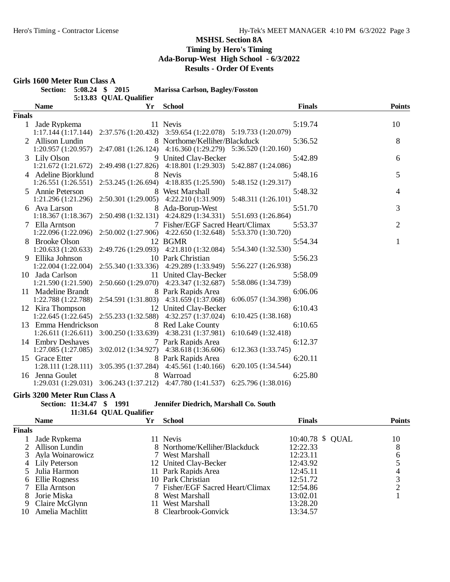#### **Girls 1600 Meter Run Class A Section: 5:08.24 \$ 2015 Marissa Carlson, Bagley/Fosston** 5:13.83 QUAL Qualifier **Name Yr School Finals Points Finals** 1 Jade Rypkema 11 Nevis 5:19.74 5:19.74 11 1.17.144 (1:17.144) 2:37.576 (1:20.432) 3:59.654 (1:22.078) 5:19.733 (1:20.079) 1:17.144 (1:17.144) 2:37.576 (1:20.432) 3:59.654 (1:22.078) 5:19.733 (1:20.079) 2 Allison Lundin 8 Northome/Kelliher/Blackduck 5:36.52 8<br>1:20.957 (1:20.957) 2:47.081 (1:26.124) 4:16.360 (1:29.279) 5:36.520 (1:20.160) 1:20.957 (1:20.957) 2:47.081 (1:26.124) 4:16.360 (1:29.279) 5:36.520 (1:20.160) 3 Lily Olson 9 United Clay-Becker 5:42.89 5:42.89 6<br>1:21.672 (1:21.672) 2:49.498 (1:27.826) 4:18.801 (1:29.303) 5:42.887 (1:24.086) 1:21.672 (1:21.672) 2:49.498 (1:27.826) 4:18.801 (1:29.303) 5:42.887 (1:24.086) 4 Adeline Bjorklund 8 Nevis 5:48.16 5:48.16 5:48.16 5:46.551 (1:26.551) 2:53.245 (1:26.694) 4:18.835 (1:25.590) 5:48.152 (1:29.317) 1:26.551 (1:26.551) 2:53.245 (1:26.694) 4:18.835 (1:25.590) 5:48.152 (1:29.317) 5 Annie Peterson 8 West Marshall 5:48.32 4<br>1:21.296 (1:21.296) 2:50.301 (1:29.005) 4:22.210 (1:31.909) 5:48.311 (1:26.101)  $1:21.296 (1:21.296)$   $2:50.301 (1:29.005)$   $4:22.210 (1:31.909)$ 6 Ava Larson 8 Ada-Borup-West 5:51.70 5:51.70 3<br>1:18.367 (1:18.367) 2:50.498 (1:32.131) 4:24.829 (1:34.331) 5:51.693 (1:26.864) 1:18.367 (1:18.367) 2:50.498 (1:32.131) 4:24.829 (1:34.331) 5:51.693 (1:26.864) 7 Ella Arntson 7 Fisher/EGF Sacred Heart/Climax 5:53.37 2 1:22.096 (1:22.096) 2:50.002 (1:27.906) 4:22.650 (1:32.648) 5:53.370 (1:30.720) 8 Brooke Olson 12 BGMR 5:54.34 5:54.34 1:20.633 (1:20.633) 2:49.726 (1:29.093) 4:21.810 (1:32.084) 5:54.340 (1:32.530) 1:20.633 (1:20.633) 2:49.726 (1:29.093) 4:21.810 (1:32.084) 5:54.340 (1:32.530) 9 Ellika Johnson 10 Park Christian 5:56.23<br>1:22.004 (1:22.004) 2:55.340 (1:33.336) 4:29.289 (1:33.949) 5:56.227 (1:26.938) 2:55.340 (1:33.336) 4:29.289 (1:33.949) 10 Jada Carlson 11 United Clay-Becker 5:58.09<br>1:21.590 (1:21.590) 2:50.660 (1:29.070) 4:23.347 (1:32.687) 5:58.086 (1:34.739) 1:21.590 (1:21.590) 2:50.660 (1:29.070) 11 Madeline Brandt 8 Park Rapids Area 6:06.06<br>1:22.788 (1:22.788) 2:54.591 (1:31.803) 4:31.659 (1:37.068) 6:06.057 (1:34.398) 1:22.788 (1:22.788) 2:54.591 (1:31.803) 4:31.659 (1:37.068) 6:06.057 (1:34.398) 12 Kira Thompson 12 United Clay-Becker 6:10.43<br>1:22.645 (1:22.645) 2:55.233 (1:32.588) 4:32.257 (1:37.024) 6:10.425 (1:38.168) 1:22.645 (1:22.645) 2:55.233 (1:32.588) 13 Emma Hendrickson 8 Red Lake County 6:10.65<br>1:26.611 (1:26.611) 3:00.250 (1:33.639) 4:38.231 (1:37.981) 6:10.649 (1:32.418) 1:26.611 (1:26.611) 3:00.250 (1:33.639) 4:38.231 (1:37.981) 14 Embry Deshayes 7 Park Rapids Area 6:12.37<br>1:27.085 (1:27.085) 3:02.012 (1:34.927) 4:38.618 (1:36.606) 6:12.363 (1:33.745) 4:38.618 (1:36.606) 15 Grace Etter 8 Park Rapids Area 6:20.11 1:28.111 (1:28.111) 3:05.395 (1:37.284) 4:45.561 (1:40.166) 6:20.105 (1:34.544) 16 Jenna Goulet 8 Warroad 6:25.80 1:29.031 (1:29.031) 3:06.243 (1:37.212) 4:47.780 (1:41.537) 6:25.796 (1:38.016)

# **Girls 3200 Meter Run Class A**

**Section: 11:34.47 \$ 1991 Jennifer Diedrich, Marshall Co. South**

#### **11:31.64 QUAL Qualifier**

|               | <b>Name</b>        | Υr | <b>School</b>                    | <b>Finals</b>    | <b>Points</b> |
|---------------|--------------------|----|----------------------------------|------------------|---------------|
| <b>Finals</b> |                    |    |                                  |                  |               |
|               | Jade Rypkema       |    | 11 Nevis                         | 10:40.78 \$ OUAL | 10            |
|               | 2 Allison Lundin   |    | 8 Northome/Kelliher/Blackduck    | 12:22.33         | 8             |
|               | 3 Ayla Woinarowicz |    | 7 West Marshall                  | 12:23.11         |               |
|               | 4 Lily Peterson    |    | 12 United Clay-Becker            | 12:43.92         |               |
|               | 5 Julia Harmon     |    | 11 Park Rapids Area              | 12:45.11         |               |
|               | 6 Ellie Rogness    |    | 10 Park Christian                | 12:51.72         | 3             |
|               | Ella Arntson       |    | 7 Fisher/EGF Sacred Heart/Climax | 12:54.86         |               |
|               | Jorie Miska        |    | 8 West Marshall                  | 13:02.01         |               |
| 9             | Claire McGlynn     |    | 11 West Marshall                 | 13:28.20         |               |
| 10            | Amelia Machlitt    |    | 8 Clearbrook-Gonvick             | 13:34.57         |               |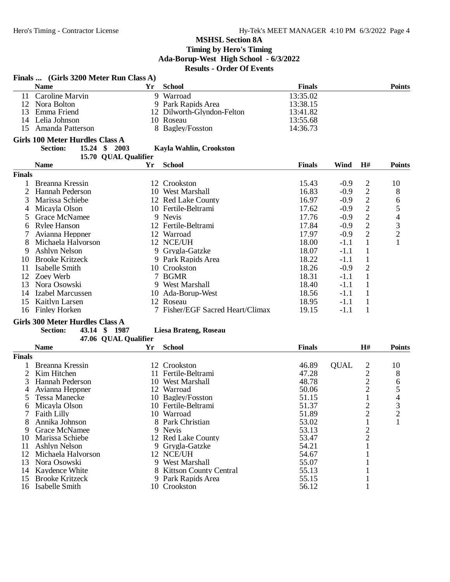|                | Finals  (Girls 3200 Meter Run Class A) |    |                                  |               |             |                |                |
|----------------|----------------------------------------|----|----------------------------------|---------------|-------------|----------------|----------------|
|                | <b>Name</b>                            | Yr | <b>School</b>                    | <b>Finals</b> |             |                | <b>Points</b>  |
| 11             | Caroline Marvin                        |    | 9 Warroad                        | 13:35.02      |             |                |                |
| 12             | Nora Bolton                            |    | 9 Park Rapids Area               | 13:38.15      |             |                |                |
| 13             | Emma Friend                            |    | 12 Dilworth-Glyndon-Felton       | 13:41.82      |             |                |                |
|                | 14 Lelia Johnson                       |    | 10 Roseau                        | 13:55.68      |             |                |                |
| 15             | Amanda Patterson                       |    | 8 Bagley/Fosston                 | 14:36.73      |             |                |                |
|                | <b>Girls 100 Meter Hurdles Class A</b> |    |                                  |               |             |                |                |
|                | <b>Section:</b><br>15.24 \$ 2003       |    | Kayla Wahlin, Crookston          |               |             |                |                |
|                | 15.70 QUAL Qualifier                   |    |                                  |               |             |                |                |
|                | <b>Name</b>                            | Yr | <b>School</b>                    | <b>Finals</b> | Wind        | H#             | <b>Points</b>  |
| <b>Finals</b>  |                                        |    |                                  |               |             |                |                |
| $\mathbf{1}$   | Breanna Kressin                        |    | 12 Crookston                     | 15.43         | $-0.9$      | $\overline{2}$ | 10             |
| $\overline{2}$ | Hannah Pederson                        |    | 10 West Marshall                 | 16.83         | $-0.9$      | $\mathbf{2}$   | 8              |
| 3              | Marissa Schiebe                        |    | 12 Red Lake County               | 16.97         | $-0.9$      | $\overline{c}$ | 6              |
| 4              | Micayla Olson                          |    | 10 Fertile-Beltrami              | 17.62         | $-0.9$      | $\overline{c}$ | 5              |
| 5              | Grace McNamee                          |    | 9 Nevis                          | 17.76         | $-0.9$      | $\overline{c}$ | 4              |
|                |                                        |    | 12 Fertile-Beltrami              | 17.84         | $-0.9$      | $\overline{2}$ |                |
| 6              | <b>Rylee Hanson</b>                    |    |                                  |               |             | $\overline{2}$ | 3              |
|                | Avianna Heppner                        |    | 12 Warroad                       | 17.97         | $-0.9$      |                | $\overline{c}$ |
| 8              | Michaela Halvorson                     |    | 12 NCE/UH                        | 18.00         | $-1.1$      | $\mathbf{1}$   | 1              |
| 9              | Ashlyn Nelson                          |    | 9 Grygla-Gatzke                  | 18.07         | $-1.1$      | 1              |                |
| 10             | <b>Brooke Kritzeck</b>                 |    | 9 Park Rapids Area               | 18.22         | $-1.1$      | 1              |                |
| 11             | Isabelle Smith                         |    | 10 Crookston                     | 18.26         | $-0.9$      | $\overline{2}$ |                |
| 12             | Zoey Werb                              |    | 7 BGMR                           | 18.31         | $-1.1$      | $\mathbf{1}$   |                |
| 13             | Nora Osowski                           |    | 9 West Marshall                  | 18.40         | $-1.1$      | $\mathbf{1}$   |                |
| 14             | <b>Izabel Marcussen</b>                |    | 10 Ada-Borup-West                | 18.56         | $-1.1$      | $\mathbf{1}$   |                |
| 15             | <b>Kaitlyn Larsen</b>                  |    | 12 Roseau                        | 18.95         | $-1.1$      | $\mathbf{1}$   |                |
| 16             | <b>Finley Horken</b>                   |    | 7 Fisher/EGF Sacred Heart/Climax | 19.15         | $-1.1$      | $\mathbf{1}$   |                |
|                | <b>Girls 300 Meter Hurdles Class A</b> |    |                                  |               |             |                |                |
|                | 43.14 \$ 1987<br><b>Section:</b>       |    | <b>Liesa Brateng, Roseau</b>     |               |             |                |                |
|                | 47.06 QUAL Qualifier                   |    |                                  |               |             |                |                |
|                | <b>Name</b>                            | Yr | <b>School</b>                    | <b>Finals</b> |             | H#             | <b>Points</b>  |
| <b>Finals</b>  |                                        |    |                                  |               |             |                |                |
| 1              | Breanna Kressin                        |    | 12 Crookston                     | 46.89         | <b>OUAL</b> |                | 10             |
| $\overline{2}$ | Kim Hitchen                            |    | 11 Fertile-Beltrami              | 47.28         |             |                | 8              |
| 3              | Hannah Pederson                        |    | 10 West Marshall                 | 48.78         |             | $\frac{2}{2}$  | 6              |
| 4              | Avianna Heppner                        |    | 12 Warroad                       | 50.06         |             | $\overline{c}$ | 5              |
| 5              | <b>Tessa Manecke</b>                   |    | 10 Bagley/Fosston                | 51.15         |             | $\mathbf{1}$   | 4              |
| b              | Micayla Olson                          |    | 10 Fertile-Beltrami              | 51.37         |             | $\overline{c}$ | 3              |
|                | <b>Faith Lilly</b>                     |    | 10 Warroad                       | 51.89         |             | $\overline{c}$ | $\overline{c}$ |
| 8              | Annika Johnson                         |    | 8 Park Christian                 | 53.02         |             | $\mathbf{1}$   |                |
|                | 9 Grace McNamee                        |    | 9 Nevis                          | 53.13         |             | $\overline{c}$ |                |
|                | 10 Marissa Schiebe                     |    | 12 Red Lake County               | 53.47         |             | $\overline{c}$ |                |
| 11             | <b>Ashlyn Nelson</b>                   |    | 9 Grygla-Gatzke                  | 54.21         |             |                |                |
|                | 12 Michaela Halvorson                  |    | 12 NCE/UH                        | 54.67         |             |                |                |
| 13             | Nora Osowski                           |    | 9 West Marshall                  | 55.07         |             |                |                |
|                | 14 Kaydence White                      |    | 8 Kittson County Central         | 55.13         |             |                |                |
| 15             | <b>Brooke Kritzeck</b>                 |    | 9 Park Rapids Area               | 55.15         |             | 1              |                |
|                | 16 Isabelle Smith                      |    | 10 Crookston                     | 56.12         |             | 1              |                |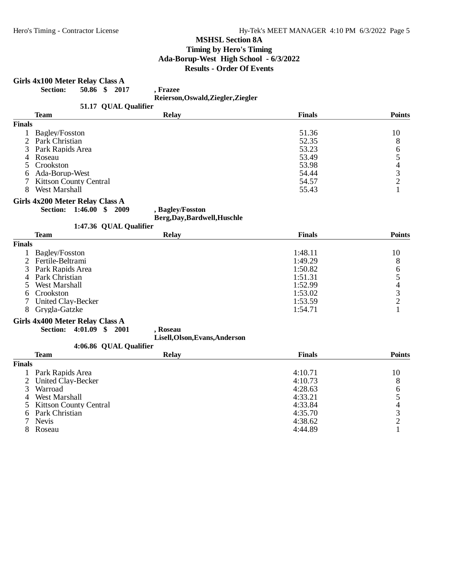# **Girls 4x100 Meter Relay Class A**<br>**Section:** 50.86 \$ 201

**Section: 50.86 \$ 2017 , Frazee**

**Reierson,Oswald,Ziegler,Ziegler**

| <b>Team</b>                   | <b>Relay</b> | <b>Finals</b>        | <b>Points</b>                               |
|-------------------------------|--------------|----------------------|---------------------------------------------|
| <b>Finals</b>                 |              |                      |                                             |
| Bagley/Fosston                |              | 51.36                | 10                                          |
| 2 Park Christian              |              | 52.35                | 8                                           |
| 3 Park Rapids Area            |              | 53.23                | 6                                           |
| 4 Roseau                      |              | 53.49                |                                             |
| 5 Crookston                   |              | 53.98                |                                             |
| Ada-Borup-West<br>6.          |              | 54.44                |                                             |
| <b>Kittson County Central</b> |              | 54.57                |                                             |
| West Marshall                 |              | 55.43                |                                             |
|                               |              | 51.17 QUAL Qualifier | <b>Reiel son, Oswalu, Ziegiel , Ziegiel</b> |

#### **Girls 4x200 Meter Relay Class A**

**Section: 1:46.00 \$ 2009 , Bagley/Fosston**

**Berg,Day,Bardwell,Huschle**  $1.47.36$  OUAL Ovelifi

| 1:47.36 QUAL Qualifier |                    |              |               |               |
|------------------------|--------------------|--------------|---------------|---------------|
|                        | <b>Team</b>        | <b>Relay</b> | <b>Finals</b> | <b>Points</b> |
| <b>Finals</b>          |                    |              |               |               |
|                        | Bagley/Fosston     |              | 1:48.11       | 10            |
|                        | 2 Fertile-Beltrami |              | 1:49.29       | 8             |
|                        | 3 Park Rapids Area |              | 1:50.82       | 6             |
|                        | 4 Park Christian   |              | 1:51.31       |               |
|                        | West Marshall      |              | 1:52.99       |               |
|                        | 6 Crookston        |              | 1:53.02       |               |
|                        | United Clay-Becker |              | 1:53.59       |               |
|                        | Grygla-Gatzke      |              | 1:54.71       |               |

#### **Girls 4x400 Meter Relay Class A**

**Section: 4:01.09 \$ 2001 , Roseau**

**Lisell,Olson,Evans,Anderson**

# 4:06.86 QUAL Qualifier

| <b>Team</b>              | <b>Relay</b> | <b>Finals</b> | <b>Points</b> |
|--------------------------|--------------|---------------|---------------|
| Finals                   |              |               |               |
| Park Rapids Area         |              | 4:10.71       | 10            |
| 2 United Clay-Becker     |              | 4:10.73       | 8             |
| Warroad                  |              | 4:28.63       | 6             |
| West Marshall            |              | 4:33.21       |               |
| 5 Kittson County Central |              | 4:33.84       |               |
| 6 Park Christian         |              | 4:35.70       | 2             |
| 7 Nevis                  |              | 4:38.62       |               |
| Roseau                   |              | 4:44.89       |               |
|                          |              |               |               |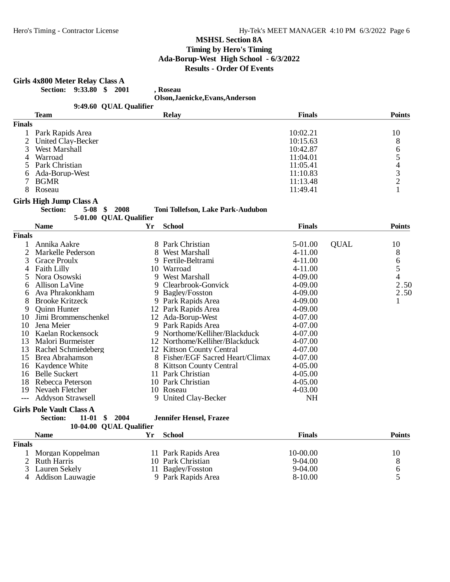## **Girls 4x800 Meter Relay Class A**

4 Addison Lauwagie

**Section: 9:33.80 \$ 2001 , Roseau**

**Olson,Jaenicke,Evans,Anderson**

|                | 9:49.60 QUAL Qualifier                 |    |                                   |               |             |                |
|----------------|----------------------------------------|----|-----------------------------------|---------------|-------------|----------------|
|                | <b>Team</b>                            |    | <b>Relay</b>                      | <b>Finals</b> |             | <b>Points</b>  |
| <b>Finals</b>  |                                        |    |                                   |               |             |                |
| $\mathbf{1}$   | Park Rapids Area                       |    |                                   | 10:02.21      |             | 10             |
| $\overline{2}$ | United Clay-Becker                     |    |                                   | 10:15.63      |             | 8              |
| 3              | West Marshall                          |    |                                   | 10:42.87      |             |                |
| 4              | Warroad                                |    |                                   | 11:04.01      |             |                |
| 5              | Park Christian                         |    |                                   | 11:05.41      |             |                |
| 6              | Ada-Borup-West                         |    |                                   | 11:10.83      |             | 65432          |
| $\tau$         | <b>BGMR</b>                            |    |                                   | 11:13.48      |             |                |
| 8              | Roseau                                 |    |                                   | 11:49.41      |             | $\mathbf{1}$   |
|                | <b>Girls High Jump Class A</b>         |    |                                   |               |             |                |
|                | <b>Section:</b><br>5-08<br>2008<br>S   |    | Toni Tollefson, Lake Park-Audubon |               |             |                |
|                | 5-01.00 QUAL Qualifier                 |    |                                   |               |             |                |
|                | <b>Name</b>                            | Yr | <b>School</b>                     | <b>Finals</b> |             | <b>Points</b>  |
| <b>Finals</b>  |                                        |    |                                   |               |             |                |
| 1              | Annika Aakre                           |    | 8 Park Christian                  | 5-01.00       | <b>QUAL</b> | 10             |
| $\overline{2}$ | Markelle Pederson                      |    | 8 West Marshall                   | 4-11.00       |             | 8              |
| 3              | <b>Grace Proulx</b>                    |    | 9 Fertile-Beltrami                | 4-11.00       |             | 6              |
| 4              | <b>Faith Lilly</b>                     |    | 10 Warroad                        | $4 - 11.00$   |             | 5              |
| 5              | Nora Osowski                           |    | 9 West Marshall                   | 4-09.00       |             | $\overline{4}$ |
| 6              | <b>Allison LaVine</b>                  |    | 9 Clearbrook-Gonvick              | 4-09.00       |             | 2.50           |
| 6              | Ava Phrakonkham                        |    | 9 Bagley/Fosston                  | 4-09.00       |             | 2.50           |
| 8              | <b>Brooke Kritzeck</b>                 |    | 9 Park Rapids Area                | 4-09.00       |             | 1              |
| 9              | <b>Ouinn Hunter</b>                    |    | 12 Park Rapids Area               | 4-09.00       |             |                |
| 10             | Jimi Brommenschenkel                   |    | 12 Ada-Borup-West                 | 4-07.00       |             |                |
| 10             | Jena Meier                             |    | 9 Park Rapids Area                | 4-07.00       |             |                |
| 10             | Kaelan Rockensock                      |    | 9 Northome/Kelliher/Blackduck     | 4-07.00       |             |                |
| 13             | Malori Burmeister                      |    | 12 Northome/Kelliher/Blackduck    | 4-07.00       |             |                |
| 13             | Rachel Schmiedeberg                    |    | 12 Kittson County Central         | 4-07.00       |             |                |
| 15             | <b>Brea Abrahamson</b>                 |    | 8 Fisher/EGF Sacred Heart/Climax  | 4-07.00       |             |                |
|                | 16 Kaydence White                      |    | 8 Kittson County Central          | $4 - 05.00$   |             |                |
| 16             | <b>Belle Suckert</b>                   |    | 11 Park Christian                 | $4 - 05.00$   |             |                |
| 18             | Rebecca Peterson                       |    | 10 Park Christian                 | 4-05.00       |             |                |
| 19             | Nevaeh Fletcher                        |    | 10 Roseau                         | 4-03.00       |             |                |
|                | <b>Addyson Strawsell</b>               |    | 9 United Clay-Becker              | <b>NH</b>     |             |                |
|                | <b>Girls Pole Vault Class A</b>        |    |                                   |               |             |                |
|                | 2004<br><b>Section:</b><br>11-01<br>\$ |    | <b>Jennifer Hensel, Frazee</b>    |               |             |                |
|                | 10-04.00 QUAL Qualifier                |    |                                   |               |             |                |
|                | <b>Name</b>                            | Yr | <b>School</b>                     | <b>Finals</b> |             | <b>Points</b>  |
| <b>Finals</b>  |                                        |    |                                   |               |             |                |
| $\mathbf{1}$   | Morgan Koppelman                       |    | 11 Park Rapids Area               | 10-00.00      |             | 10             |
| $\overline{2}$ | <b>Ruth Harris</b>                     |    | 10 Park Christian                 | 9-04.00       |             | 8              |

2 Ruth Harris 10 Park Christian 9-04.00 8<br>3 Lauren Sekely 11 Bagley/Fosston 9-04.00 6

11 Bagley/Fosston 9-04.00 6<br>
9 Park Rapids Area 8-10.00 5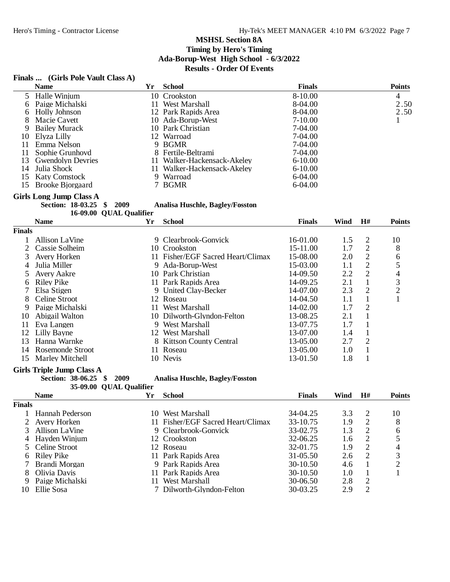# **Finals ... (Girls Pole Vault Class A)**

|                | <b>Name</b>                    | <b>Yr</b> | <b>School</b>                          | <b>Finals</b> |      |                | <b>Points</b>            |
|----------------|--------------------------------|-----------|----------------------------------------|---------------|------|----------------|--------------------------|
| 5              | Halle Winjum                   | 10        | Crookston                              | 8-10.00       |      |                | 4                        |
| 6              | Paige Michalski                | 11        | West Marshall                          | 8-04.00       |      |                | 2.50                     |
| 6              | <b>Holly Johnson</b>           |           | 12 Park Rapids Area                    | 8-04.00       |      |                | 2.50                     |
| 8              | Macie Cavett                   |           | 10 Ada-Borup-West                      | $7-10.00$     |      |                | 1                        |
| 9              | <b>Bailey Murack</b>           |           | 10 Park Christian                      | 7-04.00       |      |                |                          |
| 10             | Elyza Lilly                    | 12        | Warroad                                | 7-04.00       |      |                |                          |
| 11             | Emma Nelson                    |           | 9 BGMR                                 | 7-04.00       |      |                |                          |
| 11             | Sophie Grunhovd                |           | 8 Fertile-Beltrami                     | 7-04.00       |      |                |                          |
| 13             | <b>Gwendolyn Devries</b>       | 11        | Walker-Hackensack-Akeley               | $6 - 10.00$   |      |                |                          |
| 14             | Julia Shock                    | 11        | Walker-Hackensack-Akeley               | $6 - 10.00$   |      |                |                          |
| 15             | <b>Katy Comstock</b>           | 9         | Warroad                                | 6-04.00       |      |                |                          |
| 15             | <b>Brooke Bjorgaard</b>        |           | 7 BGMR                                 | 6-04.00       |      |                |                          |
|                | <b>Girls Long Jump Class A</b> |           |                                        |               |      |                |                          |
|                | <b>Section: 18-03.25</b><br>\$ | 2009      | <b>Analisa Huschle, Bagley/Fosston</b> |               |      |                |                          |
|                | 16-09.00 QUAL Qualifier        |           |                                        |               |      |                |                          |
|                | <b>Name</b>                    | Yr        | <b>School</b>                          | <b>Finals</b> | Wind | H#             | <b>Points</b>            |
| <b>Finals</b>  |                                |           |                                        |               |      |                |                          |
|                | <b>Allison LaVine</b>          |           | 9 Clearbrook-Gonvick                   | 16-01.00      | 1.5  | $\overline{2}$ | 10                       |
| $\overline{c}$ | Cassie Solheim                 |           | 10 Crookston                           | 15-11.00      | 1.7  | $\mathfrak{2}$ | 8                        |
| 3              | Avery Horken                   |           | 11 Fisher/EGF Sacred Heart/Climax      | 15-08.00      | 2.0  | $\overline{2}$ | 6                        |
| 4              | Julia Miller                   | 9         | Ada-Borup-West                         | 15-03.00      | 1.1  | $\overline{c}$ | 5                        |
| 5              | Avery Aakre                    | 10        | Park Christian                         | 14-09.50      | 2.2  | $\overline{2}$ | $\overline{\mathcal{L}}$ |
| 6              | <b>Riley Pike</b>              |           | 11 Park Rapids Area                    | 14-09.25      | 2.1  | $\mathbf{1}$   | 3                        |
|                | Elsa Stigen                    | 9         | United Clay-Becker                     | 14-07.00      | 2.3  | $\overline{2}$ | $\overline{c}$           |
| 8              | Celine Stroot                  |           | 12 Roseau                              | 14-04.50      | 1.1  |                |                          |

| 8 Celine Stroot     | 12 Roseau                  | $14 - 04.50$ |     |               |  |
|---------------------|----------------------------|--------------|-----|---------------|--|
| 9 Paige Michalski   | 11 West Marshall           | $14 - 02.00$ | 1.7 | $\mathcal{D}$ |  |
| 10 Abigail Walton   | 10 Dilworth-Glyndon-Felton | 13-08.25     | 2.1 |               |  |
| 11 Eva Langen       | 9 West Marshall            | 13-07.75     | 1.7 |               |  |
| 12 Lilly Bayne      | 12 West Marshall           | 13-07.00     | 1.4 |               |  |
| 13 Hanna Warnke     | 8 Kittson County Central   | 13-05.00     | 2.7 | 2             |  |
| 14 Rosemonde Stroot | 11 Roseau                  | 13-05.00     | 1.0 |               |  |
| 15 Marley Mitchell  | 10 Nevis                   | 13-01.50     | 1.8 |               |  |
|                     |                            |              |     |               |  |

#### **Girls Triple Jump Class A**

**Section: 38-06.25 \$ 2009 Analisa Huschle, Bagley/Fosston 35-09.00 QUAL Qualifier**

|        | <b>Name</b>     | Yr  | <b>School</b>                     | <b>Finals</b> | Wind | H#                          | <b>Points</b> |
|--------|-----------------|-----|-----------------------------------|---------------|------|-----------------------------|---------------|
| Finals |                 |     |                                   |               |      |                             |               |
|        | Hannah Pederson | 10. | West Marshall                     | 34-04.25      | 3.3  | -2                          | 10            |
|        | Avery Horken    |     | 11 Fisher/EGF Sacred Heart/Climax | 33-10.75      | 1.9  | 2                           | 8             |
|        | Allison LaVine  |     | 9 Clearbrook-Gonvick              | 33-02.75      | 1.3  | $\overline{2}$              | 6             |
| 4      | Hayden Winjum   |     | 12 Crookston                      | 32-06.25      | 1.6  | 2                           |               |
|        | 5 Celine Stroot |     | 12 Roseau                         | 32-01.75      | 1.9  | 2                           | 4             |
| 6      | Riley Pike      |     | 11 Park Rapids Area               | $31 - 05.50$  | 2.6  | $\mathcal{D}_{\mathcal{L}}$ | 3             |
|        | Brandi Morgan   |     | 9 Park Rapids Area                | $30-10.50$    | 4.6  |                             | ⌒             |
| 8      | Olivia Davis    |     | 11 Park Rapids Area               | $30-10.50$    | 1.0  |                             |               |
| 9      | Paige Michalski | 11. | West Marshall                     | $30-06.50$    | 2.8  | 2                           |               |
| 10     | Ellie Sosa      |     | 7 Dilworth-Glyndon-Felton         | 30-03.25      | 2.9  | 2                           |               |
|        |                 |     |                                   |               |      |                             |               |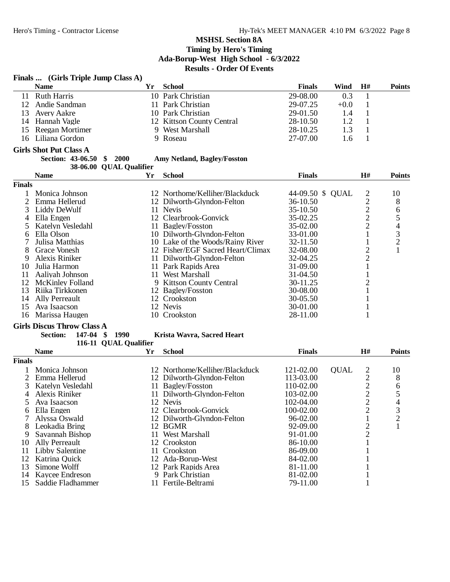#### **Finals ... (Girls Triple Jump Class A) Name Yr School Finals Wind H# Points** 11 Ruth Harris 10 Park Christian 29-08.00 0.3 1 12 Andie Sandman 11 Park Christian 29-07.25 +0.0 1 13 Avery Aakre 10 Park Christian 29-01.50 1.4 1<br>14 Hannah Vagle 12 Kittson County Central 28-10.50 1.2 1 12 Kittson County Central 28-10.50<br>
9 West Marshall 28-10.25 15 Reegan Mortimer 9 West Marshall 28-10.25 1.3 1 16 Liliana Gordon 9 Roseau 27-07.00 1.6 1 **Girls Shot Put Class A**<br>**Section: 43-06.50** \$ 2000 **Section: 43-06.50 \$ 2000 Amy Netland, Bagley/Fosston** 38-06.00 QUAL Qualifier **Name Yr School Finals H# Points Finals** 1 Monica Johnson 12 Northome/Kelliher/Blackduck 44-09.50 \$ QUAL 2 10<br>2 Emma Hellerud 12 Dilworth-Glyndon-Felton 36-10.50 2 8 2 Emma Hellerud 12 Dilworth-Glyndon-Felton 36-10.50 2 8<br>3 Liddy DeWulf 11 Nevis 35-10.50 2 6 3 Liddy DeWulf 11 Nevis 35-10.50 2 6<br>
4 Ella Engen 12 Clearbrook-Gonvick 35-02.25 2 5 12 Clearbrook-Gonvick 35-02.25 2 5<br>11 Bagley/Fosston 35-02.00 2 4 5 Katelyn Vesledahl 11 Bagley/Fosston 35-02.00 2 4 Ella Olson 10 Dilworth-Glyndon-Felton 33-01.00 1 3<br>
Julisa Matthias 10 Lake of the Woods/Rainy River 32-11.50 1 2 7 Julisa Matthias 10 Lake of the Woods/Rainy River 32-11.50 1 2<br>8 Grace Vonesh 12 Fisher/EGF Sacred Heart/Climax 32-08.00 2 1 8 Grace Vonesh 12 Fisher/EGF Sacred Heart/Climax 32-08.00 2<br>
9 Alexis Riniker 11 Dilworth-Glyndon-Felton 32-04.25 2 9 Alexis Riniker 11 Dilworth-Glyndon-Felton 32-04.25 2<br>10 Julia Harmon 11 Park Rapids Area 31-09.00 1 11 Park Rapids Area 31-09.00 1<br>Aaliyah Johnson 11 West Marshall 31-04.50 1 11 Aaliyah Johnson 11 West Marshall 31-04.50 1<br>12 McKinley Folland 9 Kittson County Central 30-11.25 2 12 McKinley Folland 9 2 Sittson County Central 30-11.25<br>
12 Baglev/Fosston 30-08.00 1 13 Riika Tirkkonen 12 Bagley/Fosston 30-08.00 1 14 Ally Perreault 12 Crookston 30-05.50 1<br>15 Ava Isaacson 12 Nevis 12 Nevis 30-01.00 1 Ava Isaacson 12 Nevis 12 Nevis 30-01.00 1<br>
Marissa Haugen 10 Crookston 28-11.00 1 16 Marissa Haugen **Girls Discus Throw Class A**<br>**Section: 147-04 \$ 1990 Section: 147-04 \$ 1990 Krista Wavra, Sacred Heart** 116-11 QUAL Qualifier **Name Yr School Finals H# Points Finals** 1 Monica Johnson 12 Northome/Kelliher/Blackduck 121-02.00 QUAL 2 10<br>2 Emma Hellerud 12 Dilworth-Glyndon-Felton 113-03.00 2 8 2 Emma Hellerud 12 Dilworth-Glyndon-Felton 113-03.00 2 8<br>3 Katelyn Vesledahl 11 Baglev/Fosston 110-02.00 2 6 3 Katelyn Vesledahl 11 Bagley/Fosston 110-02.00 2 6<br>
4 Alexis Riniker 11 Dilworth-Glyndon-Felton 103-02.00 2 5<br>
5 Ava Isaacson 12 Nevis 102-04.00 2 4 1 Dilworth-Glyndon-Felton 103-02.00 2 5<br>12 Nevis 102-04.00 2 4 5 Ava Isaacson 12 Nevis 102-04.00 2 4<br>
5 Ella Engen 12 Clearbrook-Gonvick 100-02.00 2 3 6 Ella Engen 12 Clearbrook-Gonvick 100-02.00 2 3 7 Alyssa Oswald 12 Dilworth-Glyndon-Felton 96-02.00 1<br>8 Leokadia Bring 12 BGMR 92-09.00 2 8 Leokadia Bring 12 BGMR 92-09.00 2 1 9 Savannah Bishop 11 West Marshall 91-01.00 2<br>
12 Crookston 12 Savannah 12 Crookston 2 10 Ally Perreault 12 Crookston 86-10.00 11 Libby Salentine 11 Crookston 86-09.00 1<br>12 Ada-Borup-West 84-02.00 1 12 Katrina Quick 12 Ada-Borup-West 84-02.00 1 13 Simone Wolff 12 Park Rapids Area 81-11.00

14 Kaycee Endreson 9 Park Christian 81-02.00 1 15 Saddie Fladhammer 11 Fertile-Beltrami 79-11.00 1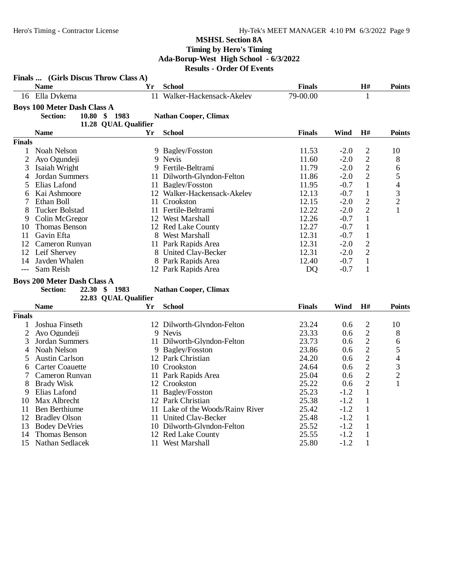|                | Finals  (Girls Discus Throw Class A) |                      |                                  |               |        |                         |                          |
|----------------|--------------------------------------|----------------------|----------------------------------|---------------|--------|-------------------------|--------------------------|
|                | <b>Name</b>                          | Yr                   | <b>School</b>                    | <b>Finals</b> |        | H#                      | <b>Points</b>            |
|                | 16 Ella Dykema                       |                      | 11 Walker-Hackensack-Akeley      | 79-00.00      |        | $\mathbf{1}$            |                          |
|                | <b>Boys 100 Meter Dash Class A</b>   |                      |                                  |               |        |                         |                          |
|                | <b>Section:</b>                      | 10.80 \$ 1983        | <b>Nathan Cooper, Climax</b>     |               |        |                         |                          |
|                |                                      | 11.28 QUAL Qualifier |                                  |               |        |                         |                          |
|                | <b>Name</b>                          | Yr                   | <b>School</b>                    | <b>Finals</b> | Wind   | H#                      | <b>Points</b>            |
| <b>Finals</b>  |                                      |                      |                                  |               |        |                         |                          |
| 1              | Noah Nelson                          |                      | 9 Bagley/Fosston                 | 11.53         | $-2.0$ | $\overline{c}$          | 10                       |
| $\overline{2}$ | Ayo Ogundeji                         |                      | 9 Nevis                          | 11.60         | $-2.0$ | $\overline{2}$          | 8                        |
| 3              | Isaiah Wright                        |                      | 9 Fertile-Beltrami               | 11.79         | $-2.0$ | $\sqrt{2}$              | 6                        |
| 4              | Jordan Summers                       |                      | 11 Dilworth-Glyndon-Felton       | 11.86         | $-2.0$ | $\mathbf{2}$            | 5                        |
| 5              | Elias Lafond                         |                      | 11 Bagley/Fosston                | 11.95         | $-0.7$ | $\mathbf{1}$            | $\overline{\mathcal{L}}$ |
| 6              | Kai Ashmoore                         |                      | 12 Walker-Hackensack-Akeley      | 12.13         | $-0.7$ | $\mathbf{1}$            | 3                        |
| 7              | Ethan Boll                           |                      | 11 Crookston                     | 12.15         | $-2.0$ | $\overline{c}$          | $\overline{c}$           |
| 8              | <b>Tucker Bolstad</b>                |                      | 11 Fertile-Beltrami              | 12.22         | $-2.0$ | $\overline{2}$          | 1                        |
| 9              | Colin McGregor                       |                      | 12 West Marshall                 | 12.26         | $-0.7$ | 1                       |                          |
| 10             | Thomas Benson                        |                      | 12 Red Lake County               | 12.27         | $-0.7$ | $\mathbf{1}$            |                          |
| 11             | Gavin Efta                           |                      | 8 West Marshall                  | 12.31         | $-0.7$ | $\mathbf{1}$            |                          |
| 12             | Cameron Runyan                       |                      | 11 Park Rapids Area              | 12.31         | $-2.0$ | $\overline{c}$          |                          |
| 12             | Leif Shervey                         |                      | 8 United Clay-Becker             | 12.31         | $-2.0$ | $\overline{2}$          |                          |
| 14             | Jayden Whalen                        |                      | 8 Park Rapids Area               | 12.40         | $-0.7$ | $\mathbf{1}$            |                          |
| $---$          | Sam Reish                            |                      | 12 Park Rapids Area              | DQ            | $-0.7$ | $\mathbf{1}$            |                          |
|                |                                      |                      |                                  |               |        |                         |                          |
|                | <b>Boys 200 Meter Dash Class A</b>   |                      |                                  |               |        |                         |                          |
|                | <b>Section:</b>                      | 22.30 \$ 1983        | <b>Nathan Cooper, Climax</b>     |               |        |                         |                          |
|                |                                      | 22.83 QUAL Qualifier |                                  |               |        |                         |                          |
|                | <b>Name</b>                          | Yr                   | <b>School</b>                    | <b>Finals</b> | Wind   | H#                      | <b>Points</b>            |
| <b>Finals</b>  |                                      |                      |                                  |               |        |                         |                          |
| 1              | Joshua Finseth                       |                      | 12 Dilworth-Glyndon-Felton       | 23.24         | 0.6    | $\overline{\mathbf{c}}$ | 10                       |
| $\overline{2}$ | Ayo Ogundeji                         |                      | 9 Nevis                          | 23.33         | 0.6    | $\overline{c}$          | 8                        |
| 3              | Jordan Summers                       |                      | 11 Dilworth-Glyndon-Felton       | 23.73         | 0.6    | $\sqrt{2}$              | 6                        |
| 4              | Noah Nelson                          |                      | 9 Bagley/Fosston                 | 23.86         | 0.6    | $\overline{c}$          | 5                        |
| 5              | <b>Austin Carlson</b>                |                      | 12 Park Christian                | 24.20         | 0.6    | $\overline{c}$          | $\overline{\mathcal{L}}$ |
| 6              | <b>Carter Coauette</b>               |                      | 10 Crookston                     | 24.64         | 0.6    | $\sqrt{2}$              | 3                        |
| 7              | Cameron Runyan                       |                      | 11 Park Rapids Area              | 25.04         | 0.6    | $\overline{2}$          | $\overline{c}$           |
| 8              | <b>Brady Wisk</b>                    |                      | 12 Crookston                     | 25.22         | 0.6    | $\overline{c}$          | 1                        |
| 9              | Elias Lafond                         |                      | 11 Bagley/Fosston                | 25.23         | $-1.2$ | $\mathbf{1}$            |                          |
| 10             | Max Albrecht                         |                      | 12 Park Christian                | 25.38         | $-1.2$ | $\mathbf{1}$            |                          |
| 11             | Ben Berthiume                        |                      | 11 Lake of the Woods/Rainy River | 25.42         | $-1.2$ | $\mathbf{1}$            |                          |
| 12             | <b>Bradley Olson</b>                 |                      | 11 United Clay-Becker            | 25.48         | $-1.2$ | $\mathbf{1}$            |                          |
| 13             | <b>Bodey DeVries</b>                 |                      | 10 Dilworth-Glyndon-Felton       | 25.52         | $-1.2$ | $\mathbf{1}$            |                          |
| 14             | Thomas Benson                        |                      | 12 Red Lake County               | 25.55         | $-1.2$ | $\mathbf{1}$            |                          |
| 15             | Nathan Sedlacek                      |                      | 11 West Marshall                 | 25.80         | $-1.2$ | $\mathbf{1}$            |                          |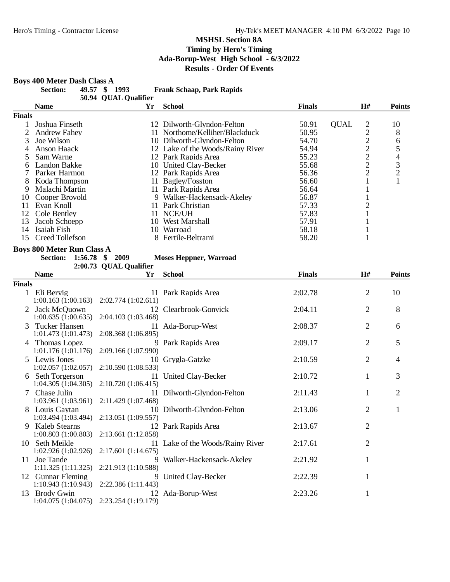#### **Boys 400 Meter Dash Class A**

| <b>Section:</b> | 49.57 \$ 1993 |                      | <b>Frank Schaap, Park Rapids</b> |
|-----------------|---------------|----------------------|----------------------------------|
|                 |               | 50.94 QUAL Qualifier |                                  |

|        | $\mathbf{v}$ case $\mathbf{v}$ and $\mathbf{v}$ |    |                                  |               |             |    |               |
|--------|-------------------------------------------------|----|----------------------------------|---------------|-------------|----|---------------|
|        | <b>Name</b>                                     | Yr | <b>School</b>                    | <b>Finals</b> |             | H# | <b>Points</b> |
| Finals |                                                 |    |                                  |               |             |    |               |
|        | Joshua Finseth                                  |    | 12 Dilworth-Glyndon-Felton       | 50.91         | <b>OUAL</b> | 2  | 10            |
|        | <b>Andrew Fahey</b>                             |    | 11 Northome/Kelliher/Blackduck   | 50.95         |             | ◠  | 8             |
| 3      | Joe Wilson                                      |    | 10 Dilworth-Glyndon-Felton       | 54.70         |             | っ  | 6             |
|        | Anson Haack                                     |    | 12 Lake of the Woods/Rainy River | 54.94         |             | ↑  |               |
|        | Sam Warne                                       |    | 12 Park Rapids Area              | 55.23         |             | ↑  | 4             |
| 6      | Landon Bakke                                    |    | 10 United Clay-Becker            | 55.68         |             | ി  | 3             |
|        | Parker Harmon                                   |    | 12 Park Rapids Area              | 56.36         |             | ◠  | $\bigcirc$    |
| 8      | Koda Thompson                                   |    | 11 Bagley/Fosston                | 56.60         |             |    |               |
| 9      | Malachi Martin                                  |    | 11 Park Rapids Area              | 56.64         |             |    |               |
| 10     | Cooper Brovold                                  |    | 9 Walker-Hackensack-Akeley       | 56.87         |             |    |               |
| 11     | Evan Knoll                                      | 11 | <b>Park Christian</b>            | 57.33         |             |    |               |
| 12     | Cole Bentley                                    | 11 | NCE/UH                           | 57.83         |             |    |               |
| 13     | Jacob Schoepp                                   | 10 | West Marshall                    | 57.91         |             |    |               |
| 14     | Isaiah Fish                                     | 10 | Warroad                          | 58.18         |             |    |               |
| 15     | Creed Tollefson                                 |    | 8 Fertile-Beltrami               | 58.20         |             |    |               |

#### **Boys 800 Meter Run Class A**

| NUU IVIELEI' KUII UIASS A |                          |  |                               |
|---------------------------|--------------------------|--|-------------------------------|
|                           | Section: 1:56.78 \$ 2009 |  | <b>Moses Heppner, Warroad</b> |

| 1:56.78 \$ 2009        |  | <b>Moses Heppner, Warroa</b> |  |
|------------------------|--|------------------------------|--|
| 2:00.73 QUAL Qualifier |  |                              |  |

|        | <b>Name</b>                                              | Yr                                             | <b>School</b>                    | <b>Finals</b> | H#             | <b>Points</b>  |
|--------|----------------------------------------------------------|------------------------------------------------|----------------------------------|---------------|----------------|----------------|
| Finals |                                                          |                                                |                                  |               |                |                |
| 1      | Eli Bervig<br>$1:00.163(1:00.163)$ $2:02.774(1:02.611)$  |                                                | 11 Park Rapids Area              | 2:02.78       | 2              | 10             |
|        | Jack McQuown<br>1:00.635(1:00.635)                       | 12<br>2:04.103 (1:03.468)                      | Clearbrook-Gonvick               | 2:04.11       | $\overline{2}$ | 8              |
|        | 3 Tucker Hansen<br>1:01.473(1:01.473)                    | 2:08.368 (1:06.895)                            | 11 Ada-Borup-West                | 2:08.37       | $\overline{2}$ | 6              |
|        | 4 Thomas Lopez<br>1:01.176(1:01.176)                     | 2:09.166 (1:07.990)                            | 9 Park Rapids Area               | 2:09.17       | 2              | 5              |
|        | 5 Lewis Jones<br>1:02.057(1:02.057)                      | 2:10.590(1:08.533)                             | 10 Grygla-Gatzke                 | 2:10.59       | $\overline{2}$ | $\overline{4}$ |
|        | 6 Seth Torgerson                                         | $1:04.305(1:04.305)$ $2:10.720(1:06.415)$      | 11 United Clay-Becker            | 2:10.72       | 1              | 3              |
|        | 7 Chase Julin<br>1:03.961 (1:03.961) 2:11.429 (1:07.468) |                                                | 11 Dilworth-Glyndon-Felton       | 2:11.43       |                | 2              |
|        | 8 Louis Gaytan                                           | $1:03.494(1:03.494)$ $2:13.051(1:09.557)$      | 10 Dilworth-Glyndon-Felton       | 2:13.06       | 2              | 1              |
| 9      | <b>Kaleb Stearns</b>                                     | $1:00.803(1:00.803)$ $2:13.661(1:12.858)$      | 12 Park Rapids Area              | 2:13.67       | $\overline{2}$ |                |
|        | 10 Seth Meikle                                           | $1:02.926(1:02.926)$ $2:17.601(1:14.675)$      | 11 Lake of the Woods/Rainy River | 2:17.61       | 2              |                |
|        | 11 Joe Tande<br>1:11.325(1:11.325)                       | 9<br>2:21.913 (1:10.588)                       | Walker-Hackensack-Akeley         | 2:21.92       | 1              |                |
|        | 12 Gunnar Fleming                                        | 9<br>$1:10.943(1:10.943)$ $2:22.386(1:11.443)$ | United Clay-Becker               | 2:22.39       | 1              |                |
| 13     | Brody Gwin                                               | $1:04.075(1:04.075)$ $2:23.254(1:19.179)$      | 12 Ada-Borup-West                | 2:23.26       | 1              |                |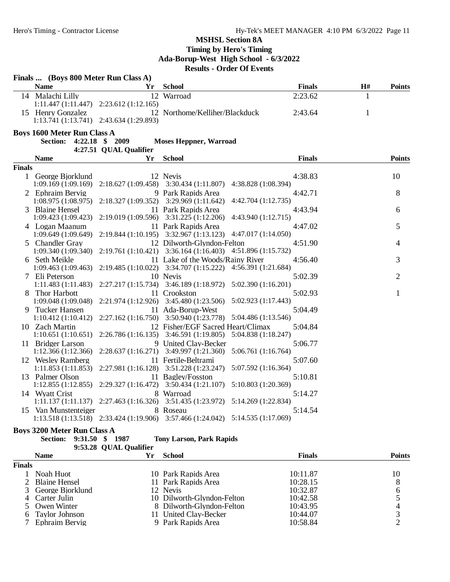|               | Finals  (Boys 800 Meter Run Class A)                          |                        |                                                                                         |               |    |                |  |  |
|---------------|---------------------------------------------------------------|------------------------|-----------------------------------------------------------------------------------------|---------------|----|----------------|--|--|
|               | <b>Name</b>                                                   | Yr                     | <b>School</b>                                                                           | <b>Finals</b> | H# | <b>Points</b>  |  |  |
|               | 14 Malachi Lilly<br>$1:11.447(1:11.447)$ $2:23.612(1:12.165)$ |                        | 12 Warroad                                                                              | 2:23.62       | 1  |                |  |  |
|               | 15 Henry Gonzalez<br>1:13.741 (1:13.741) 2:43.634 (1:29.893)  |                        | 12 Northome/Kelliher/Blackduck                                                          | 2:43.64       | 1  |                |  |  |
|               | <b>Boys 1600 Meter Run Class A</b>                            |                        |                                                                                         |               |    |                |  |  |
|               | <b>Section:</b>                                               | 4:22.18 \$ 2009        | <b>Moses Heppner, Warroad</b>                                                           |               |    |                |  |  |
|               |                                                               | 4:27.51 QUAL Qualifier |                                                                                         |               |    |                |  |  |
|               | <b>Name</b>                                                   | Yr                     | <b>School</b>                                                                           | <b>Finals</b> |    | <b>Points</b>  |  |  |
| <b>Finals</b> |                                                               |                        |                                                                                         |               |    |                |  |  |
|               | 1 George Bjorklund                                            |                        | 12 Nevis<br>4:38.828 (1:08.394)                                                         | 4:38.83       |    | 10             |  |  |
|               | 1:09.169 (1:09.169)<br>2 Ephraim Bervig                       |                        | $2:18.627(1:09.458)$ $3:30.434(1:11.807)$<br>9 Park Rapids Area                         | 4:42.71       |    | 8              |  |  |
|               | 1:08.975(1:08.975)                                            | 2:18.327(1:09.352)     | 3:29.969(1:11.642)<br>4:42.704 (1:12.735)                                               |               |    |                |  |  |
|               | 3 Blaine Hensel                                               |                        | 11 Park Rapids Area                                                                     | 4:43.94       |    | 6              |  |  |
|               | 1:09.423(1:09.423)                                            |                        | 4:43.940 (1:12.715)<br>2:19.019 (1:09.596) 3:31.225 (1:12.206)                          |               |    |                |  |  |
|               | 4 Logan Maanum                                                |                        | 11 Park Rapids Area                                                                     | 4:47.02       |    | 5              |  |  |
|               | 1:09.649 (1:09.649)                                           |                        | 2:19.844 (1:10.195) 3:32.967 (1:13.123) 4:47.017 (1:14.050)                             |               |    |                |  |  |
|               | 5 Chandler Gray                                               |                        | 12 Dilworth-Glyndon-Felton                                                              | 4:51.90       |    | 4              |  |  |
|               | 1:09.340 (1:09.340)                                           |                        | 2:19.761 (1:10.421) 3:36.164 (1:16.403) 4:51.896 (1:15.732)                             |               |    |                |  |  |
|               | 6 Seth Meikle                                                 |                        | 11 Lake of the Woods/Rainy River                                                        | 4:56.40       |    | 3              |  |  |
|               | 1:09.463(1:09.463)                                            |                        | 2:19.485 (1:10.022) 3:34.707 (1:15.222) 4:56.391 (1:21.684)                             |               |    |                |  |  |
|               | 7 Eli Peterson<br>1:11.483(1:11.483)                          |                        | 10 Nevis<br>2:27.217 (1:15.734) 3:46.189 (1:18.972) 5:02.390 (1:16.201)                 | 5:02.39       |    | $\overline{2}$ |  |  |
|               | 8 Thor Harbott                                                |                        | 11 Crookston                                                                            | 5:02.93       |    | 1              |  |  |
|               | 1:09.048 (1:09.048)                                           |                        | 2:21.974 (1:12.926) 3:45.480 (1:23.506) 5:02.923 (1:17.443)                             |               |    |                |  |  |
|               | 9 Tucker Hansen                                               |                        | 11 Ada-Borup-West                                                                       | 5:04.49       |    |                |  |  |
|               | 1:10.412(1:10.412)                                            |                        | 2:27.162 (1:16.750) 3:50.940 (1:23.778) 5:04.486 (1:13.546)                             |               |    |                |  |  |
|               | 10 Zach Martin                                                |                        | 12 Fisher/EGF Sacred Heart/Climax                                                       | 5:04.84       |    |                |  |  |
|               | 1:10.651(1:10.651)                                            |                        | 5:04.838 (1:18.247)<br>$2:26.786(1:16.135)$ $3:46.591(1:19.805)$                        |               |    |                |  |  |
|               | 11 Bridger Larson                                             |                        | 9 United Clay-Becker                                                                    | 5:06.77       |    |                |  |  |
|               | 1:12.366 (1:12.366)<br>12 Wesley Ramberg                      |                        | $2:28.637(1:16.271)$ $3:49.997(1:21.360)$<br>5:06.761 (1:16.764)<br>11 Fertile-Beltrami | 5:07.60       |    |                |  |  |
|               | 1:11.853(1:11.853)                                            |                        | 5:07.592 (1:16.364)<br>2:27.981 (1:16.128) 3:51.228 (1:23.247)                          |               |    |                |  |  |
|               | 13 Palmer Olson                                               |                        | 11 Bagley/Fosston                                                                       | 5:10.81       |    |                |  |  |
|               | 1:12.855(1:12.855)                                            |                        | 5:10.803 (1:20.369)<br>2:29.327 (1:16.472) 3:50.434 (1:21.107)                          |               |    |                |  |  |
|               | 14 Wyatt Crist                                                |                        | 8 Warroad                                                                               | 5:14.27       |    |                |  |  |
|               |                                                               |                        | 1:11.137 (1:11.137) 2:27.463 (1:16.326) 3:51.435 (1:23.972) 5:14.269 (1:22.834)         |               |    |                |  |  |
|               | 15 Van Munstenteiger                                          |                        | 8 Roseau                                                                                | 5:14.54       |    |                |  |  |
|               |                                                               |                        | 1:13.518 (1:13.518) 2:33.424 (1:19.906) 3:57.466 (1:24.042) 5:14.535 (1:17.069)         |               |    |                |  |  |
|               |                                                               |                        |                                                                                         |               |    |                |  |  |

#### **Boys 3200 Meter Run Class A Section: 9:31.50 \$ 1987 Tony Larson, Park Rapids**

|               | 9:53.28 QUAL Qualifier |    |                            |               |               |
|---------------|------------------------|----|----------------------------|---------------|---------------|
|               | <b>Name</b>            | Yr | <b>School</b>              | <b>Finals</b> | <b>Points</b> |
| <b>Finals</b> |                        |    |                            |               |               |
|               | Noah Huot              |    | 10 Park Rapids Area        | 10:11.87      | 10            |
|               | 2 Blaine Hensel        |    | 11 Park Rapids Area        | 10:28.15      | 8             |
|               | 3 George Bjorklund     |    | 12 Nevis                   | 10:32.87      | 6             |
|               | 4 Carter Julin         |    | 10 Dilworth-Glyndon-Felton | 10:42.58      |               |
|               | 5 Owen Winter          |    | 8 Dilworth-Glyndon-Felton  | 10:43.95      | 4             |
|               | 6 Taylor Johnson       |    | 11 United Clay-Becker      | 10:44.07      |               |
|               | 7 Ephraim Bervig       |    | 9 Park Rapids Area         | 10:58.84      |               |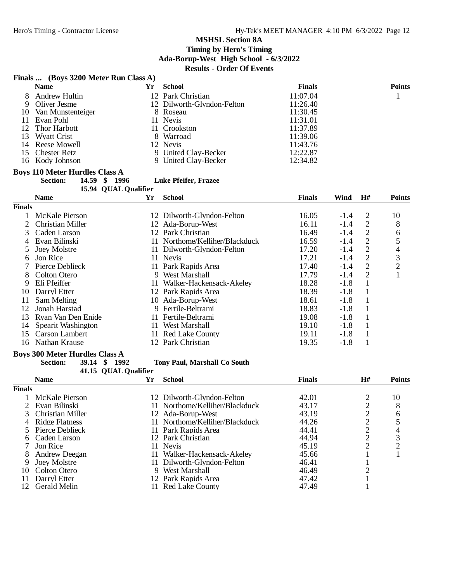# **Finals ... (Boys 3200 Meter Run Class A)**

|               | Finals  (BOYS 3200 Meter Run Class A) |    |                                |               |        |                |                |
|---------------|---------------------------------------|----|--------------------------------|---------------|--------|----------------|----------------|
|               | <b>Name</b>                           | Yr | <b>School</b>                  | <b>Finals</b> |        |                | <b>Points</b>  |
| 8             | <b>Andrew Hultin</b>                  |    | 12 Park Christian              | 11:07.04      |        |                | 1              |
| 9             | Oliver Jesme                          |    | 12 Dilworth-Glyndon-Felton     | 11:26.40      |        |                |                |
| 10            | Van Munstenteiger                     |    | 8 Roseau                       | 11:30.45      |        |                |                |
| 11            | Evan Pohl                             |    | 11 Nevis                       | 11:31.01      |        |                |                |
| 12            | Thor Harbott                          |    | 11 Crookston                   | 11:37.89      |        |                |                |
| 13            | <b>Wyatt Crist</b>                    |    | 8 Warroad                      | 11:39.06      |        |                |                |
| 14            | Reese Mowell                          |    | 12 Nevis                       | 11:43.76      |        |                |                |
| 15            | <b>Chester Retz</b>                   |    | 9 United Clay-Becker           | 12:22.87      |        |                |                |
| 16            | Kody Johnson                          | 9  | United Clay-Becker             | 12:34.82      |        |                |                |
|               | <b>Boys 110 Meter Hurdles Class A</b> |    |                                |               |        |                |                |
|               | 14.59 \$ 1996<br><b>Section:</b>      |    | <b>Luke Pfeifer, Frazee</b>    |               |        |                |                |
|               | 15.94 QUAL Qualifier                  |    |                                |               |        |                |                |
|               | <b>Name</b>                           | Yr | <b>School</b>                  | <b>Finals</b> | Wind   | H#             | <b>Points</b>  |
| <b>Finals</b> |                                       |    |                                |               |        |                |                |
|               | <b>McKale Pierson</b>                 |    | 12 Dilworth-Glyndon-Felton     | 16.05         | $-1.4$ | $\overline{c}$ | 10             |
| 2             | <b>Christian Miller</b>               |    | 12 Ada-Borup-West              | 16.11         | $-1.4$ | $\overline{2}$ | 8              |
| 3             | Caden Larson                          |    | 12 Park Christian              | 16.49         | $-1.4$ | $\overline{2}$ | 6              |
| 4             | Evan Bilinski                         |    | 11 Northome/Kelliher/Blackduck | 16.59         | $-1.4$ | $\sqrt{2}$     | 5              |
| 5             | <b>Joey Molstre</b>                   |    | 11 Dilworth-Glyndon-Felton     | 17.20         | $-1.4$ |                | 4              |
| 6             | Jon Rice                              |    | 11 Nevis                       | 17.21         | $-1.4$ | $\frac{2}{2}$  | 3              |
| 7             | Pierce Deblieck                       |    | 11 Park Rapids Area            | 17.40         | $-1.4$ | $\overline{c}$ | $\overline{c}$ |
| 8             | Colton Otero                          |    | 9 West Marshall                | 17.79         | $-1.4$ | $\overline{2}$ | $\mathbf{1}$   |
| 9             | Eli Pfeiffer                          |    | 11 Walker-Hackensack-Akeley    | 18.28         | $-1.8$ | $\mathbf{1}$   |                |
| 10            | Darryl Etter                          |    | 12 Park Rapids Area            | 18.39         | $-1.8$ | $\mathbf{1}$   |                |
| 11            | Sam Melting                           |    | 10 Ada-Borup-West              | 18.61         | $-1.8$ | $\mathbf{1}$   |                |
| 12            | Jonah Harstad                         |    | 9 Fertile-Beltrami             | 18.83         | $-1.8$ | $\mathbf{1}$   |                |
| 13            | Ryan Van Den Enide                    |    | 11 Fertile-Beltrami            | 19.08         | $-1.8$ | $\mathbf{1}$   |                |
| 14            | Spearit Washington                    |    | 11 West Marshall               | 19.10         | $-1.8$ | $\mathbf{1}$   |                |
| 15            | Carson Lambert                        |    | 11 Red Lake County             | 19.11         | $-1.8$ | $\mathbf{1}$   |                |
| 16            | Nathan Krause                         |    | 12 Park Christian              | 19.35         | $-1.8$ | 1              |                |

# **Boys 300 Meter Hurdles Class A**<br>**Section:** 39.14 \$ 1992

#### **Section: 39.14 \$ 1992 Tony Paul, Marshall Co South**

**41.15 QUAL Qualifier<br>Vr** 

|               | <b>Name</b>        | Yr | <b>School</b>                  | <b>Finals</b> | H# | <b>Points</b> |
|---------------|--------------------|----|--------------------------------|---------------|----|---------------|
| <b>Finals</b> |                    |    |                                |               |    |               |
|               | McKale Pierson     |    | 12 Dilworth-Glyndon-Felton     | 42.01         |    | 10            |
|               | 2 Evan Bilinski    |    | 11 Northome/Kelliher/Blackduck | 43.17         |    | 8             |
|               | 3 Christian Miller |    | 12 Ada-Borup-West              | 43.19         |    | 6             |
|               | 4 Ridge Flatness   |    | 11 Northome/Kelliher/Blackduck | 44.26         |    |               |
|               | 5 Pierce Deblieck  |    | 11 Park Rapids Area            | 44.41         |    |               |
|               | 6 Caden Larson     |    | 12 Park Christian              | 44.94         | ⌒  | 3             |
|               | Jon Rice           |    | 11 Nevis                       | 45.19         | ⌒  | ◠             |
| 8             | Andrew Deegan      | 11 | Walker-Hackensack-Akeley       | 45.66         |    |               |
| 9             | Joev Molstre       |    | 11 Dilworth-Glyndon-Felton     | 46.41         |    |               |
| 10            | Colton Otero       |    | 9 West Marshall                | 46.49         |    |               |
| 11            | Darryl Etter       |    | 12 Park Rapids Area            | 47.42         |    |               |
| 12            | Gerald Melin       |    | 11 Red Lake County             | 47.49         |    |               |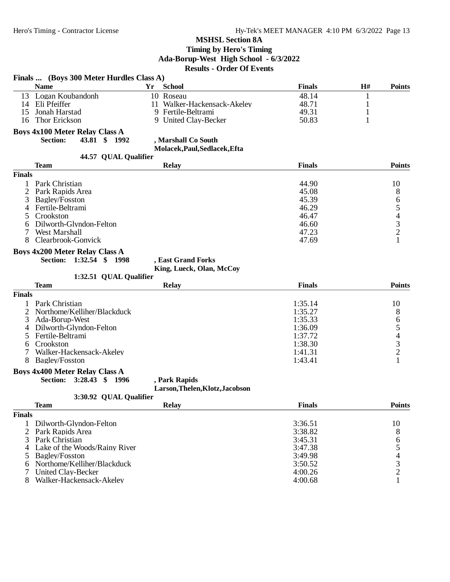| <b>Name</b><br><b>School</b><br><b>Finals</b><br>H#<br><b>Points</b><br>Yr<br>Logan Koubandonh<br>10 Roseau<br>48.14<br>13<br>1<br>Eli Pfeiffer<br>48.71<br>11 Walker-Hackensack-Akeley<br>1<br>14<br>Jonah Harstad<br>9 Fertile-Beltrami<br>49.31<br>$\mathbf{1}$<br>15<br>$\mathbf{1}$<br><b>Thor Erickson</b><br>9 United Clay-Becker<br>50.83<br>16<br><b>Boys 4x100 Meter Relay Class A</b><br>43.81 \$ 1992<br><b>Section:</b><br>, Marshall Co South<br>Molacek, Paul, Sedlacek, Efta<br>44.57 QUAL Qualifier<br><b>Finals</b><br><b>Points</b><br><b>Team</b><br><b>Relay</b><br><b>Finals</b><br>Park Christian<br>44.90<br>10<br>1<br>45.08<br>8<br>Park Rapids Area<br>6<br>Bagley/Fosston<br>45.39<br>3<br>$\begin{array}{c} 5 \\ 4 \\ 3 \\ 2 \end{array}$<br>46.29<br>Fertile-Beltrami<br>4<br>Crookston<br>46.47<br>5<br>Dilworth-Glyndon-Felton<br>46.60<br>6<br>7<br>West Marshall<br>47.23<br>$\mathbf{1}$<br>Clearbrook-Gonvick<br>47.69<br>8<br><b>Boys 4x200 Meter Relay Class A</b><br>Section: 1:32.54 \$ 1998<br>, East Grand Forks<br>King, Lueck, Olan, McCoy<br>1:32.51 QUAL Qualifier<br><b>Points</b><br><b>Team</b><br><b>Relay</b><br><b>Finals</b><br><b>Finals</b><br>Park Christian<br>1<br>1:35.14<br>10<br>Northome/Kelliher/Blackduck<br>8<br>2<br>1:35.27<br>65432<br>Ada-Borup-West<br>1:35.33<br>3<br>Dilworth-Glyndon-Felton<br>1:36.09<br>4<br>1:37.72<br>5<br>Fertile-Beltrami<br>Crookston<br>1:38.30<br>6<br>7<br>Walker-Hackensack-Akeley<br>1:41.31<br>$\mathbf{1}$<br>1:43.41<br>8<br><b>Bagley/Fosston</b><br><b>Boys 4x400 Meter Relay Class A</b><br>3:28.43 \$ 1996<br><b>Section:</b><br>, Park Rapids<br>Larson, Thelen, Klotz, Jacobson<br>3:30.92 QUAL Qualifier<br>Relay<br><b>Finals</b><br><b>Points</b><br><b>Team</b><br><b>Finals</b><br>Dilworth-Glyndon-Felton<br>3:36.51<br>10<br>1<br>2 Park Rapids Area<br>3:38.82<br>8<br>3<br>6<br>Park Christian<br>3:45.31<br>$\frac{5}{4}$<br>Lake of the Woods/Rainy River<br>3:47.38<br>4<br>Bagley/Fosston<br>3:49.98<br>5<br>Northome/Kelliher/Blackduck<br>3:50.52<br>6 |   | Finals  (Boys 300 Meter Hurdles Class A) |         |                |
|-------------------------------------------------------------------------------------------------------------------------------------------------------------------------------------------------------------------------------------------------------------------------------------------------------------------------------------------------------------------------------------------------------------------------------------------------------------------------------------------------------------------------------------------------------------------------------------------------------------------------------------------------------------------------------------------------------------------------------------------------------------------------------------------------------------------------------------------------------------------------------------------------------------------------------------------------------------------------------------------------------------------------------------------------------------------------------------------------------------------------------------------------------------------------------------------------------------------------------------------------------------------------------------------------------------------------------------------------------------------------------------------------------------------------------------------------------------------------------------------------------------------------------------------------------------------------------------------------------------------------------------------------------------------------------------------------------------------------------------------------------------------------------------------------------------------------------------------------------------------------------------------------------------------------------------------------------------------------------------------------------------------------------------------------------------------------------------|---|------------------------------------------|---------|----------------|
|                                                                                                                                                                                                                                                                                                                                                                                                                                                                                                                                                                                                                                                                                                                                                                                                                                                                                                                                                                                                                                                                                                                                                                                                                                                                                                                                                                                                                                                                                                                                                                                                                                                                                                                                                                                                                                                                                                                                                                                                                                                                                     |   |                                          |         |                |
|                                                                                                                                                                                                                                                                                                                                                                                                                                                                                                                                                                                                                                                                                                                                                                                                                                                                                                                                                                                                                                                                                                                                                                                                                                                                                                                                                                                                                                                                                                                                                                                                                                                                                                                                                                                                                                                                                                                                                                                                                                                                                     |   |                                          |         |                |
|                                                                                                                                                                                                                                                                                                                                                                                                                                                                                                                                                                                                                                                                                                                                                                                                                                                                                                                                                                                                                                                                                                                                                                                                                                                                                                                                                                                                                                                                                                                                                                                                                                                                                                                                                                                                                                                                                                                                                                                                                                                                                     |   |                                          |         |                |
|                                                                                                                                                                                                                                                                                                                                                                                                                                                                                                                                                                                                                                                                                                                                                                                                                                                                                                                                                                                                                                                                                                                                                                                                                                                                                                                                                                                                                                                                                                                                                                                                                                                                                                                                                                                                                                                                                                                                                                                                                                                                                     |   |                                          |         |                |
|                                                                                                                                                                                                                                                                                                                                                                                                                                                                                                                                                                                                                                                                                                                                                                                                                                                                                                                                                                                                                                                                                                                                                                                                                                                                                                                                                                                                                                                                                                                                                                                                                                                                                                                                                                                                                                                                                                                                                                                                                                                                                     |   |                                          |         |                |
|                                                                                                                                                                                                                                                                                                                                                                                                                                                                                                                                                                                                                                                                                                                                                                                                                                                                                                                                                                                                                                                                                                                                                                                                                                                                                                                                                                                                                                                                                                                                                                                                                                                                                                                                                                                                                                                                                                                                                                                                                                                                                     |   |                                          |         |                |
|                                                                                                                                                                                                                                                                                                                                                                                                                                                                                                                                                                                                                                                                                                                                                                                                                                                                                                                                                                                                                                                                                                                                                                                                                                                                                                                                                                                                                                                                                                                                                                                                                                                                                                                                                                                                                                                                                                                                                                                                                                                                                     |   |                                          |         |                |
|                                                                                                                                                                                                                                                                                                                                                                                                                                                                                                                                                                                                                                                                                                                                                                                                                                                                                                                                                                                                                                                                                                                                                                                                                                                                                                                                                                                                                                                                                                                                                                                                                                                                                                                                                                                                                                                                                                                                                                                                                                                                                     |   |                                          |         |                |
|                                                                                                                                                                                                                                                                                                                                                                                                                                                                                                                                                                                                                                                                                                                                                                                                                                                                                                                                                                                                                                                                                                                                                                                                                                                                                                                                                                                                                                                                                                                                                                                                                                                                                                                                                                                                                                                                                                                                                                                                                                                                                     |   |                                          |         |                |
|                                                                                                                                                                                                                                                                                                                                                                                                                                                                                                                                                                                                                                                                                                                                                                                                                                                                                                                                                                                                                                                                                                                                                                                                                                                                                                                                                                                                                                                                                                                                                                                                                                                                                                                                                                                                                                                                                                                                                                                                                                                                                     |   |                                          |         |                |
|                                                                                                                                                                                                                                                                                                                                                                                                                                                                                                                                                                                                                                                                                                                                                                                                                                                                                                                                                                                                                                                                                                                                                                                                                                                                                                                                                                                                                                                                                                                                                                                                                                                                                                                                                                                                                                                                                                                                                                                                                                                                                     |   |                                          |         |                |
|                                                                                                                                                                                                                                                                                                                                                                                                                                                                                                                                                                                                                                                                                                                                                                                                                                                                                                                                                                                                                                                                                                                                                                                                                                                                                                                                                                                                                                                                                                                                                                                                                                                                                                                                                                                                                                                                                                                                                                                                                                                                                     |   |                                          |         |                |
|                                                                                                                                                                                                                                                                                                                                                                                                                                                                                                                                                                                                                                                                                                                                                                                                                                                                                                                                                                                                                                                                                                                                                                                                                                                                                                                                                                                                                                                                                                                                                                                                                                                                                                                                                                                                                                                                                                                                                                                                                                                                                     |   |                                          |         |                |
|                                                                                                                                                                                                                                                                                                                                                                                                                                                                                                                                                                                                                                                                                                                                                                                                                                                                                                                                                                                                                                                                                                                                                                                                                                                                                                                                                                                                                                                                                                                                                                                                                                                                                                                                                                                                                                                                                                                                                                                                                                                                                     |   |                                          |         |                |
|                                                                                                                                                                                                                                                                                                                                                                                                                                                                                                                                                                                                                                                                                                                                                                                                                                                                                                                                                                                                                                                                                                                                                                                                                                                                                                                                                                                                                                                                                                                                                                                                                                                                                                                                                                                                                                                                                                                                                                                                                                                                                     |   |                                          |         |                |
|                                                                                                                                                                                                                                                                                                                                                                                                                                                                                                                                                                                                                                                                                                                                                                                                                                                                                                                                                                                                                                                                                                                                                                                                                                                                                                                                                                                                                                                                                                                                                                                                                                                                                                                                                                                                                                                                                                                                                                                                                                                                                     |   |                                          |         |                |
|                                                                                                                                                                                                                                                                                                                                                                                                                                                                                                                                                                                                                                                                                                                                                                                                                                                                                                                                                                                                                                                                                                                                                                                                                                                                                                                                                                                                                                                                                                                                                                                                                                                                                                                                                                                                                                                                                                                                                                                                                                                                                     |   |                                          |         |                |
|                                                                                                                                                                                                                                                                                                                                                                                                                                                                                                                                                                                                                                                                                                                                                                                                                                                                                                                                                                                                                                                                                                                                                                                                                                                                                                                                                                                                                                                                                                                                                                                                                                                                                                                                                                                                                                                                                                                                                                                                                                                                                     |   |                                          |         |                |
|                                                                                                                                                                                                                                                                                                                                                                                                                                                                                                                                                                                                                                                                                                                                                                                                                                                                                                                                                                                                                                                                                                                                                                                                                                                                                                                                                                                                                                                                                                                                                                                                                                                                                                                                                                                                                                                                                                                                                                                                                                                                                     |   |                                          |         |                |
|                                                                                                                                                                                                                                                                                                                                                                                                                                                                                                                                                                                                                                                                                                                                                                                                                                                                                                                                                                                                                                                                                                                                                                                                                                                                                                                                                                                                                                                                                                                                                                                                                                                                                                                                                                                                                                                                                                                                                                                                                                                                                     |   |                                          |         |                |
|                                                                                                                                                                                                                                                                                                                                                                                                                                                                                                                                                                                                                                                                                                                                                                                                                                                                                                                                                                                                                                                                                                                                                                                                                                                                                                                                                                                                                                                                                                                                                                                                                                                                                                                                                                                                                                                                                                                                                                                                                                                                                     |   |                                          |         |                |
|                                                                                                                                                                                                                                                                                                                                                                                                                                                                                                                                                                                                                                                                                                                                                                                                                                                                                                                                                                                                                                                                                                                                                                                                                                                                                                                                                                                                                                                                                                                                                                                                                                                                                                                                                                                                                                                                                                                                                                                                                                                                                     |   |                                          |         |                |
|                                                                                                                                                                                                                                                                                                                                                                                                                                                                                                                                                                                                                                                                                                                                                                                                                                                                                                                                                                                                                                                                                                                                                                                                                                                                                                                                                                                                                                                                                                                                                                                                                                                                                                                                                                                                                                                                                                                                                                                                                                                                                     |   |                                          |         |                |
|                                                                                                                                                                                                                                                                                                                                                                                                                                                                                                                                                                                                                                                                                                                                                                                                                                                                                                                                                                                                                                                                                                                                                                                                                                                                                                                                                                                                                                                                                                                                                                                                                                                                                                                                                                                                                                                                                                                                                                                                                                                                                     |   |                                          |         |                |
|                                                                                                                                                                                                                                                                                                                                                                                                                                                                                                                                                                                                                                                                                                                                                                                                                                                                                                                                                                                                                                                                                                                                                                                                                                                                                                                                                                                                                                                                                                                                                                                                                                                                                                                                                                                                                                                                                                                                                                                                                                                                                     |   |                                          |         |                |
|                                                                                                                                                                                                                                                                                                                                                                                                                                                                                                                                                                                                                                                                                                                                                                                                                                                                                                                                                                                                                                                                                                                                                                                                                                                                                                                                                                                                                                                                                                                                                                                                                                                                                                                                                                                                                                                                                                                                                                                                                                                                                     |   |                                          |         |                |
|                                                                                                                                                                                                                                                                                                                                                                                                                                                                                                                                                                                                                                                                                                                                                                                                                                                                                                                                                                                                                                                                                                                                                                                                                                                                                                                                                                                                                                                                                                                                                                                                                                                                                                                                                                                                                                                                                                                                                                                                                                                                                     |   |                                          |         |                |
|                                                                                                                                                                                                                                                                                                                                                                                                                                                                                                                                                                                                                                                                                                                                                                                                                                                                                                                                                                                                                                                                                                                                                                                                                                                                                                                                                                                                                                                                                                                                                                                                                                                                                                                                                                                                                                                                                                                                                                                                                                                                                     |   |                                          |         |                |
|                                                                                                                                                                                                                                                                                                                                                                                                                                                                                                                                                                                                                                                                                                                                                                                                                                                                                                                                                                                                                                                                                                                                                                                                                                                                                                                                                                                                                                                                                                                                                                                                                                                                                                                                                                                                                                                                                                                                                                                                                                                                                     |   |                                          |         |                |
|                                                                                                                                                                                                                                                                                                                                                                                                                                                                                                                                                                                                                                                                                                                                                                                                                                                                                                                                                                                                                                                                                                                                                                                                                                                                                                                                                                                                                                                                                                                                                                                                                                                                                                                                                                                                                                                                                                                                                                                                                                                                                     |   |                                          |         |                |
|                                                                                                                                                                                                                                                                                                                                                                                                                                                                                                                                                                                                                                                                                                                                                                                                                                                                                                                                                                                                                                                                                                                                                                                                                                                                                                                                                                                                                                                                                                                                                                                                                                                                                                                                                                                                                                                                                                                                                                                                                                                                                     |   |                                          |         |                |
|                                                                                                                                                                                                                                                                                                                                                                                                                                                                                                                                                                                                                                                                                                                                                                                                                                                                                                                                                                                                                                                                                                                                                                                                                                                                                                                                                                                                                                                                                                                                                                                                                                                                                                                                                                                                                                                                                                                                                                                                                                                                                     |   |                                          |         |                |
|                                                                                                                                                                                                                                                                                                                                                                                                                                                                                                                                                                                                                                                                                                                                                                                                                                                                                                                                                                                                                                                                                                                                                                                                                                                                                                                                                                                                                                                                                                                                                                                                                                                                                                                                                                                                                                                                                                                                                                                                                                                                                     |   |                                          |         |                |
|                                                                                                                                                                                                                                                                                                                                                                                                                                                                                                                                                                                                                                                                                                                                                                                                                                                                                                                                                                                                                                                                                                                                                                                                                                                                                                                                                                                                                                                                                                                                                                                                                                                                                                                                                                                                                                                                                                                                                                                                                                                                                     |   |                                          |         |                |
|                                                                                                                                                                                                                                                                                                                                                                                                                                                                                                                                                                                                                                                                                                                                                                                                                                                                                                                                                                                                                                                                                                                                                                                                                                                                                                                                                                                                                                                                                                                                                                                                                                                                                                                                                                                                                                                                                                                                                                                                                                                                                     |   |                                          |         |                |
|                                                                                                                                                                                                                                                                                                                                                                                                                                                                                                                                                                                                                                                                                                                                                                                                                                                                                                                                                                                                                                                                                                                                                                                                                                                                                                                                                                                                                                                                                                                                                                                                                                                                                                                                                                                                                                                                                                                                                                                                                                                                                     |   |                                          |         |                |
|                                                                                                                                                                                                                                                                                                                                                                                                                                                                                                                                                                                                                                                                                                                                                                                                                                                                                                                                                                                                                                                                                                                                                                                                                                                                                                                                                                                                                                                                                                                                                                                                                                                                                                                                                                                                                                                                                                                                                                                                                                                                                     |   |                                          |         |                |
|                                                                                                                                                                                                                                                                                                                                                                                                                                                                                                                                                                                                                                                                                                                                                                                                                                                                                                                                                                                                                                                                                                                                                                                                                                                                                                                                                                                                                                                                                                                                                                                                                                                                                                                                                                                                                                                                                                                                                                                                                                                                                     |   |                                          |         |                |
|                                                                                                                                                                                                                                                                                                                                                                                                                                                                                                                                                                                                                                                                                                                                                                                                                                                                                                                                                                                                                                                                                                                                                                                                                                                                                                                                                                                                                                                                                                                                                                                                                                                                                                                                                                                                                                                                                                                                                                                                                                                                                     |   |                                          |         |                |
|                                                                                                                                                                                                                                                                                                                                                                                                                                                                                                                                                                                                                                                                                                                                                                                                                                                                                                                                                                                                                                                                                                                                                                                                                                                                                                                                                                                                                                                                                                                                                                                                                                                                                                                                                                                                                                                                                                                                                                                                                                                                                     |   |                                          |         |                |
|                                                                                                                                                                                                                                                                                                                                                                                                                                                                                                                                                                                                                                                                                                                                                                                                                                                                                                                                                                                                                                                                                                                                                                                                                                                                                                                                                                                                                                                                                                                                                                                                                                                                                                                                                                                                                                                                                                                                                                                                                                                                                     |   |                                          |         |                |
|                                                                                                                                                                                                                                                                                                                                                                                                                                                                                                                                                                                                                                                                                                                                                                                                                                                                                                                                                                                                                                                                                                                                                                                                                                                                                                                                                                                                                                                                                                                                                                                                                                                                                                                                                                                                                                                                                                                                                                                                                                                                                     |   |                                          |         |                |
|                                                                                                                                                                                                                                                                                                                                                                                                                                                                                                                                                                                                                                                                                                                                                                                                                                                                                                                                                                                                                                                                                                                                                                                                                                                                                                                                                                                                                                                                                                                                                                                                                                                                                                                                                                                                                                                                                                                                                                                                                                                                                     |   |                                          |         |                |
|                                                                                                                                                                                                                                                                                                                                                                                                                                                                                                                                                                                                                                                                                                                                                                                                                                                                                                                                                                                                                                                                                                                                                                                                                                                                                                                                                                                                                                                                                                                                                                                                                                                                                                                                                                                                                                                                                                                                                                                                                                                                                     |   |                                          |         |                |
|                                                                                                                                                                                                                                                                                                                                                                                                                                                                                                                                                                                                                                                                                                                                                                                                                                                                                                                                                                                                                                                                                                                                                                                                                                                                                                                                                                                                                                                                                                                                                                                                                                                                                                                                                                                                                                                                                                                                                                                                                                                                                     |   |                                          |         |                |
|                                                                                                                                                                                                                                                                                                                                                                                                                                                                                                                                                                                                                                                                                                                                                                                                                                                                                                                                                                                                                                                                                                                                                                                                                                                                                                                                                                                                                                                                                                                                                                                                                                                                                                                                                                                                                                                                                                                                                                                                                                                                                     |   |                                          |         |                |
|                                                                                                                                                                                                                                                                                                                                                                                                                                                                                                                                                                                                                                                                                                                                                                                                                                                                                                                                                                                                                                                                                                                                                                                                                                                                                                                                                                                                                                                                                                                                                                                                                                                                                                                                                                                                                                                                                                                                                                                                                                                                                     | 7 | United Clay-Becker                       | 4:00.26 | $\overline{2}$ |

8 Walker-Hackensack-Akeley 4:00.68 1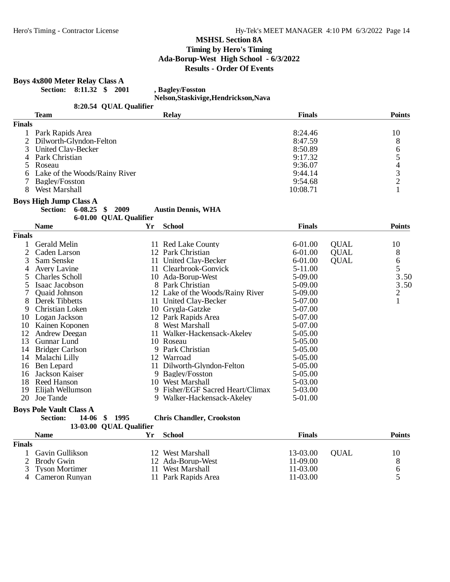# **Boys 4x800 Meter Relay Class A**

**Section: 8:11.32 \$ 2001 , Bagley/Fosston**

**Nelson,Staskivige,Hendrickson,Nava**

|                | 8:20.54 QUAL Qualifier         |         |                                  |               |             |                         |
|----------------|--------------------------------|---------|----------------------------------|---------------|-------------|-------------------------|
|                | <b>Team</b>                    |         | <b>Relay</b>                     | <b>Finals</b> |             | <b>Points</b>           |
| <b>Finals</b>  |                                |         |                                  |               |             |                         |
| 1              | Park Rapids Area               |         |                                  | 8:24.46       |             | 10                      |
| $\overline{2}$ | Dilworth-Glyndon-Felton        |         |                                  | 8:47.59       |             |                         |
| 3              | United Clay-Becker             |         |                                  | 8:50.89       |             |                         |
| 4              | Park Christian                 |         |                                  | 9:17.32       |             |                         |
| 5.             | Roseau                         |         |                                  | 9:36.07       |             | 865432                  |
| 6              | Lake of the Woods/Rainy River  |         |                                  | 9:44.14       |             |                         |
| 7              | Bagley/Fosston                 |         |                                  | 9:54.68       |             |                         |
| 8              | West Marshall                  |         |                                  | 10:08.71      |             | $\mathbf{1}$            |
|                | <b>Boys High Jump Class A</b>  |         |                                  |               |             |                         |
|                | <b>Section:</b><br>6-08.25     | \$ 2009 | <b>Austin Dennis, WHA</b>        |               |             |                         |
|                | 6-01.00 QUAL Qualifier         |         |                                  |               |             |                         |
|                | <b>Name</b>                    | Yr      | <b>School</b>                    | <b>Finals</b> |             | <b>Points</b>           |
| <b>Finals</b>  |                                |         |                                  |               |             |                         |
| 1              | <b>Gerald Melin</b>            |         | 11 Red Lake County               | 6-01.00       | <b>QUAL</b> | 10                      |
| $\overline{2}$ | Caden Larson                   |         | 12 Park Christian                | $6 - 01.00$   | <b>QUAL</b> | 8                       |
| 3              | Sam Senske                     |         | 11 United Clay-Becker            | 6-01.00       | <b>QUAL</b> | 6                       |
| 4              | Avery Lavine                   |         | 11 Clearbrook-Gonvick            | $5 - 11.00$   |             | 5                       |
| 5              | Charles Scholl                 |         | 10 Ada-Borup-West                | 5-09.00       |             | 3.50                    |
| 5              | Isaac Jacobson                 |         | 8 Park Christian                 | 5-09.00       |             | 3.50                    |
| 7              | Quaid Johnson                  |         | 12 Lake of the Woods/Rainy River | 5-09.00       |             | $\overline{\mathbf{c}}$ |
| 8              | Derek Tibbetts                 |         | 11 United Clay-Becker            | 5-07.00       |             | $\mathbf{1}$            |
| 9              | Christian Loken                |         | 10 Grygla-Gatzke                 | 5-07.00       |             |                         |
| 10             | Logan Jackson                  |         | 12 Park Rapids Area              | 5-07.00       |             |                         |
| 10             | Kainen Koponen                 |         | 8 West Marshall                  | 5-07.00       |             |                         |
| 12             | <b>Andrew Deegan</b>           |         | 11 Walker-Hackensack-Akeley      | 5-05.00       |             |                         |
| 13             | <b>Gunnar Lund</b>             |         | 10 Roseau                        | 5-05.00       |             |                         |
| 14             | <b>Bridger Carlson</b>         |         | 9 Park Christian                 | 5-05.00       |             |                         |
|                | 14 Malachi Lilly               |         | 12 Warroad                       | 5-05.00       |             |                         |
| 16             | Ben Lepard                     |         | 11 Dilworth-Glyndon-Felton       | 5-05.00       |             |                         |
| 16             | Jackson Kaiser                 |         | 9 Bagley/Fosston                 | 5-05.00       |             |                         |
|                | 18 Reed Hanson                 |         | 10 West Marshall                 | 5-03.00       |             |                         |
| 19             | Elijah Wellumson               |         | 9 Fisher/EGF Sacred Heart/Climax | 5-03.00       |             |                         |
| 20             | Joe Tande                      |         | 9 Walker-Hackensack-Akeley       | 5-01.00       |             |                         |
|                | <b>Boys Pole Vault Class A</b> |         |                                  |               |             |                         |
|                | <b>Section:</b><br>14-06<br>\$ | 1995    | <b>Chris Chandler, Crookston</b> |               |             |                         |
|                | 13-03.00 QUAL Qualifier        |         |                                  |               |             |                         |
|                | <b>Name</b>                    | Yr      | <b>School</b>                    | <b>Finals</b> |             | <b>Points</b>           |
| <b>Finals</b>  |                                |         |                                  |               |             |                         |
| 1              | Gavin Gullikson                |         | 12 West Marshall                 | 13-03.00      | <b>QUAL</b> | 10                      |
| $\overline{2}$ | <b>Brody Gwin</b>              |         | 12 Ada-Borup-West                | 11-09.00      |             | 8                       |
| 3              | <b>Tyson Mortimer</b>          |         | 11 West Marshall                 | 11-03.00      |             | 6                       |

3 Tyson Mortimer 11 West Marshall 11-03.00 6<br>4 Cameron Runyan 11 Park Rapids Area 11-03.00 5

11 Park Rapids Area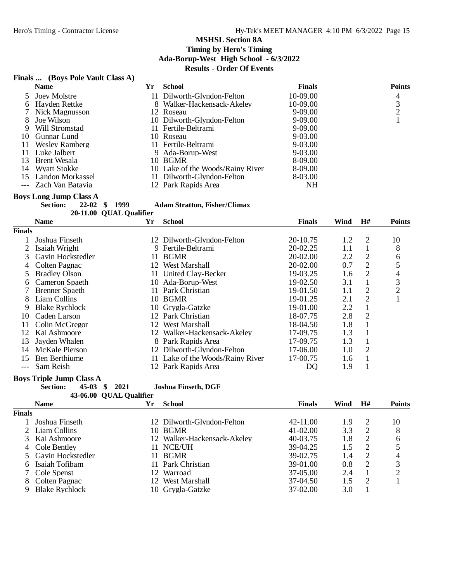# **Finals ... (Boys Pole Vault Class A)**

|    | <b>Name</b>           | Yr | <b>School</b>                    | <b>Finals</b> | <b>Points</b> |
|----|-----------------------|----|----------------------------------|---------------|---------------|
|    | 5 Joey Molstre        |    | 11 Dilworth-Glyndon-Felton       | 10-09.00      | 4             |
|    | 6 Hayden Rettke       |    | 8 Walker-Hackensack-Akeley       | 10-09.00      | 3             |
|    | 7 Nick Magnusson      |    | 12 Roseau                        | 9-09.00       |               |
| 8  | Joe Wilson            |    | 10 Dilworth-Glyndon-Felton       | 9-09.00       |               |
| 9  | Will Stromstad        |    | 11 Fertile-Beltrami              | $9-09.00$     |               |
| 10 | Gunnar Lund           |    | 10 Roseau                        | $9-03.00$     |               |
| 11 | <b>Wesley Ramberg</b> |    | 11 Fertile-Beltrami              | $9-03.00$     |               |
| 11 | Luke Jalbert          |    | 9 Ada-Borup-West                 | $9-03.00$     |               |
| 13 | Brent Wesala          |    | 10 BGMR                          | 8-09.00       |               |
|    | 14 Wyatt Stokke       |    | 10 Lake of the Woods/Rainy River | 8-09.00       |               |
| 15 | Landon Morkassel      |    | 11 Dilworth-Glyndon-Felton       | 8-03.00       |               |
|    | --- Zach Van Batavia  |    | 12 Park Rapids Area              | NΗ            |               |

**Boys Long Jump Class A**<br>Section: 22-02 \$ 1999

**Section: 22-02 \$ 1999 Adam Stratton, Fisher/Climax**

20-11.00 QUAL Qualifier

|               | <b>Name</b>           | Yr  | <b>School</b>                    | <b>Finals</b> | Wind | H#             | <b>Points</b> |
|---------------|-----------------------|-----|----------------------------------|---------------|------|----------------|---------------|
| <b>Finals</b> |                       |     |                                  |               |      |                |               |
|               | Joshua Finseth        |     | 12 Dilworth-Glyndon-Felton       | 20-10.75      | 1.2  | $\overline{2}$ | 10            |
|               | Isaiah Wright         |     | 9 Fertile-Beltrami               | $20-02.25$    | 1.1  |                | 8             |
| 3             | Gavin Hockstedler     | 11. | <b>BGMR</b>                      | $20-02.00$    | 2.2  | 2              | 6             |
| 4             | Colten Pagnac         | 12. | West Marshall                    | $20-02.00$    | 0.7  | 2              | 5             |
| 5.            | <b>Bradley Olson</b>  |     | 11 United Clay-Becker            | 19-03.25      | 1.6  | 2              | 4             |
| 6             | Cameron Spaeth        |     | 10 Ada-Borup-West                | $19-02.50$    | 3.1  |                | 3             |
|               | <b>Brenner</b> Spaeth | 11. | Park Christian                   | 19-01.50      | 1.1  | 2              | 2             |
| 8             | Liam Collins          |     | 10 BGMR                          | 19-01.25      | 2.1  | 2              |               |
| 9             | <b>Blake Rychlock</b> |     | 10 Grygla-Gatzke                 | 19-01.00      | 2.2  |                |               |
| 10            | Caden Larson          |     | 12 Park Christian                | 18-07.75      | 2.8  | 2              |               |
| 11            | Colin McGregor        | 12  | West Marshall                    | 18-04.50      | 1.8  |                |               |
| 12            | Kai Ashmoore          |     | Walker-Hackensack-Akeley         | 17-09.75      | 1.3  |                |               |
| 13            | Jayden Whalen         | 8.  | Park Rapids Area                 | 17-09.75      | 1.3  |                |               |
| 14            | <b>McKale Pierson</b> |     | 12 Dilworth-Glyndon-Felton       | 17-06.00      | 1.0  | 2              |               |
| 15            | Ben Berthiume         |     | 11 Lake of the Woods/Rainy River | 17-00.75      | 1.6  |                |               |
| ---           | Sam Reish             |     | 12 Park Rapids Area              | DO            | 1.9  |                |               |

**Boys Triple Jump Class A**<br>Section: **45-03** \$ 2021

**Section: 45-03 \$ 2021 Joshua Finseth, DGF**

| 43-06.00 QUAL Qualifier |  |
|-------------------------|--|
|                         |  |

|        | <b>Name</b>           | Yr  | <b>School</b>               | <b>Finals</b> | Wind | H#            | <b>Points</b> |
|--------|-----------------------|-----|-----------------------------|---------------|------|---------------|---------------|
| Finals |                       |     |                             |               |      |               |               |
|        | Joshua Finseth        |     | 12 Dilworth-Glyndon-Felton  | 42-11.00      | 1.9  |               | 10            |
|        | 2 Liam Collins        | 10. | <b>BGMR</b>                 | $41 - 02.00$  | 3.3  |               | 8             |
|        | Kai Ashmoore          |     | 12 Walker-Hackensack-Akeley | 40-03.75      | 1.8  |               | 6             |
| 4      | Cole Bentley          |     | 11 NCE/UH                   | 39-04.25      | 1.5  | റ             |               |
|        | 5 Gavin Hockstedler   | 11  | <b>BGMR</b>                 | 39-02.75      | 1.4  | 2             | 4             |
|        | Isaiah Tofibam        |     | 11 Park Christian           | 39-01.00      | 0.8  | $\mathcal{L}$ | 3             |
|        | Cole Spenst           |     | 12 Warroad                  | 37-05.00      | 2.4  |               |               |
|        | Colten Pagnac         |     | 12 West Marshall            | 37-04.50      | 1.5  |               |               |
| Q      | <b>Blake Rychlock</b> |     | 10 Grvgla-Gatzke            | 37-02.00      | 3.0  |               |               |
|        |                       |     |                             |               |      |               |               |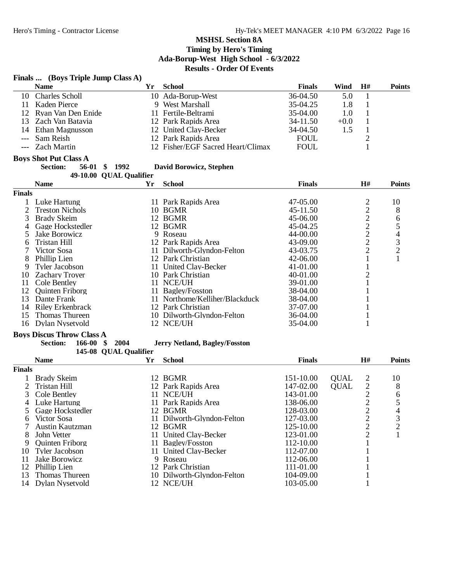## **Finals ... (Boys Triple Jump Class A)**

|                | <b>Name</b>                          | Yr | <b>School</b>                        | <b>Finals</b> | Wind<br>H#                                                | <b>Points</b>  |
|----------------|--------------------------------------|----|--------------------------------------|---------------|-----------------------------------------------------------|----------------|
| 10             | <b>Charles Scholl</b>                |    | 10 Ada-Borup-West                    | 36-04.50      | 5.0<br>1                                                  |                |
| 11             | Kaden Pierce                         |    | 9 West Marshall                      | 35-04.25      | 1.8<br>$\mathbf{1}$                                       |                |
| 12             | Ryan Van Den Enide                   |    | 11 Fertile-Beltrami                  | 35-04.00      | $\mathbf{1}$<br>1.0                                       |                |
| 13             | Zach Van Batavia                     |    | 12 Park Rapids Area                  | 34-11.50      | $\mathbf{1}$<br>$+0.0$                                    |                |
| 14             | Ethan Magnusson                      |    | 12 United Clay-Becker                | 34-04.50      | $\mathbf{1}$<br>1.5                                       |                |
| $---$          | Sam Reish                            |    | 12 Park Rapids Area                  | <b>FOUL</b>   | $\overline{2}$                                            |                |
| $---$          | <b>Zach Martin</b>                   |    | 12 Fisher/EGF Sacred Heart/Climax    | <b>FOUL</b>   | 1                                                         |                |
|                | <b>Boys Shot Put Class A</b>         |    |                                      |               |                                                           |                |
|                | <b>Section:</b><br>\$1992<br>56-01   |    | David Borowicz, Stephen              |               |                                                           |                |
|                | 49-10.00 QUAL Qualifier              |    |                                      |               |                                                           |                |
|                | <b>Name</b>                          | Yr | <b>School</b>                        | <b>Finals</b> | H#                                                        | <b>Points</b>  |
| <b>Finals</b>  |                                      |    |                                      |               |                                                           |                |
| 1              | Luke Hartung                         |    | 11 Park Rapids Area                  | 47-05.00      | $\overline{\mathbf{c}}$                                   | 10             |
| $\overline{c}$ | <b>Treston Nichols</b>               |    | 10 BGMR                              | 45-11.50      |                                                           | 8              |
| 3              | <b>Brady Skeim</b>                   |    | 12 BGMR                              | 45-06.00      |                                                           | 6              |
| 4              | Gage Hockstedler                     |    | 12 BGMR                              | 45-04.25      | $\begin{array}{c}\n2 \\ 2 \\ 2 \\ 2\n\end{array}$         | 5              |
| 5              | Jake Borowicz                        |    | 9 Roseau                             | 44-00.00      |                                                           | 4              |
| 6              | Tristan Hill                         |    | 12 Park Rapids Area                  | 43-09.00      |                                                           | 3              |
| 7              | Victor Sosa                          |    | 11 Dilworth-Glyndon-Felton           | 43-03.75      | $\overline{c}$                                            | $\overline{c}$ |
| 8              | Phillip Lien                         |    | 12 Park Christian                    | 42-06.00      | $\mathbf{1}$                                              | $\mathbf{1}$   |
| 9              | <b>Tyler Jacobson</b>                |    | 11 United Clay-Becker                | 41-01.00      | 1                                                         |                |
| 10             | <b>Zachary Troyer</b>                |    | 10 Park Christian                    | 40-01.00      | $\overline{c}$                                            |                |
| 11             | Cole Bentley                         |    | 11 NCE/UH                            | 39-01.00      | 1                                                         |                |
| 12             | <b>Quinten Friborg</b>               |    | 11 Bagley/Fosston                    | 38-04.00      |                                                           |                |
| 13             | Dante Frank                          |    | 11 Northome/Kelliher/Blackduck       | 38-04.00      |                                                           |                |
| 14             |                                      |    | 12 Park Christian                    | 37-07.00      |                                                           |                |
|                | Riley Erkenbrack                     |    |                                      |               |                                                           |                |
| 15             | Thomas Thureen                       |    | 10 Dilworth-Glyndon-Felton           | 36-04.00      |                                                           |                |
| 16             | Dylan Nysetvold                      |    | 12 NCE/UH                            | 35-04.00      | 1                                                         |                |
|                | <b>Boys Discus Throw Class A</b>     |    |                                      |               |                                                           |                |
|                | <b>Section:</b><br>166-00<br>\$ 2004 |    | <b>Jerry Netland, Bagley/Fosston</b> |               |                                                           |                |
|                | 145-08 QUAL Qualifier                |    |                                      |               |                                                           |                |
|                | <b>Name</b>                          | Yr | <b>School</b>                        | <b>Finals</b> | H#                                                        | <b>Points</b>  |
| <b>Finals</b>  |                                      |    |                                      |               |                                                           |                |
| 1              | <b>Brady Skeim</b>                   |    | 12 BGMR                              | 151-10.00     | <b>QUAL</b><br>$\overline{\mathbf{c}}$                    | 10             |
| $\overline{c}$ | Tristan Hill                         |    | 12 Park Rapids Area                  | 147-02.00     | $\begin{array}{c} 2 \\ 2 \\ 2 \end{array}$<br><b>QUAL</b> | 8              |
| 3              | Cole Bentley                         |    | 11 NCE/UH                            | 143-01.00     |                                                           | 6              |
| 4              | Luke Hartung                         |    | 11 Park Rapids Area                  | 138-06.00     |                                                           | 5              |
| 5              | Gage Hockstedler                     |    | 12 BGMR                              | 128-03.00     |                                                           | 4              |
| 6              | Victor Sosa                          |    | 11 Dilworth-Glyndon-Felton           | 127-03.00     | $\overline{\mathbf{c}}$                                   | 3              |
| 7              | Austin Kautzman                      |    | 12 BGMR                              | 125-10.00     | $\overline{c}$                                            | $\overline{c}$ |
| 8              | John Vetter                          |    | 11 United Clay-Becker                | 123-01.00     | $\overline{c}$                                            | 1              |
| 9              | <b>Quinten Friborg</b>               |    | 11 Bagley/Fosston                    | 112-10.00     | 1                                                         |                |
| 10             | <b>Tyler Jacobson</b>                |    | 11 United Clay-Becker                | 112-07.00     | 1                                                         |                |
| 11             | Jake Borowicz                        |    | 9 Roseau                             | 112-06.00     | 1                                                         |                |
|                | 12 Phillip Lien                      |    | 12 Park Christian                    | 111-01.00     |                                                           |                |

10 Dilworth-Glyndon-Felton 104-09.00 1<br>12 NCE/UH 103-05.00 1

12 Phillip Lien 12 Park Christian 111-01.00 1<br>13 Thomas Thureen 10 Dilworth-Glyndon-Felton 104-09.00 1

14 Dylan Nysetvold